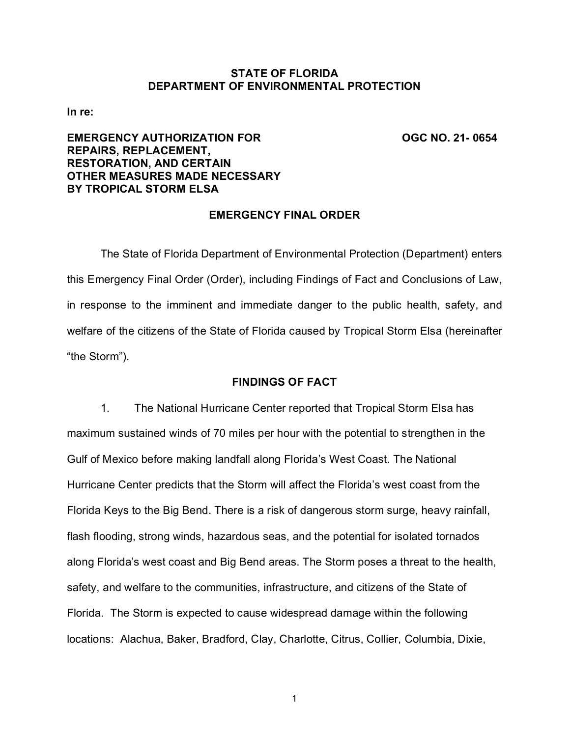# **STATE OF FLORIDA DEPARTMENT OF ENVIRONMENTAL PROTECTION**

**In re:**

# **EMERGENCY AUTHORIZATION FOR OGC NO. 21- 0654 REPAIRS, REPLACEMENT, RESTORATION, AND CERTAIN OTHER MEASURES MADE NECESSARY BY TROPICAL STORM ELSA**

## **EMERGENCY FINAL ORDER**

The State of Florida Department of Environmental Protection (Department) enters this Emergency Final Order (Order), including Findings of Fact and Conclusions of Law, in response to the imminent and immediate danger to the public health, safety, and welfare of the citizens of the State of Florida caused by Tropical Storm Elsa (hereinafter "the Storm").

# **FINDINGS OF FACT**

1. The National Hurricane Center reported that Tropical Storm Elsa has maximum sustained winds of 70 miles per hour with the potential to strengthen in the Gulf of Mexico before making landfall along Florida's West Coast. The National Hurricane Center predicts that the Storm will affect the Florida's west coast from the Florida Keys to the Big Bend. There is a risk of dangerous storm surge, heavy rainfall, flash flooding, strong winds, hazardous seas, and the potential for isolated tornados along Florida's west coast and Big Bend areas. The Storm poses a threat to the health, safety, and welfare to the communities, infrastructure, and citizens of the State of Florida. The Storm is expected to cause widespread damage within the following locations: Alachua, Baker, Bradford, Clay, Charlotte, Citrus, Collier, Columbia, Dixie,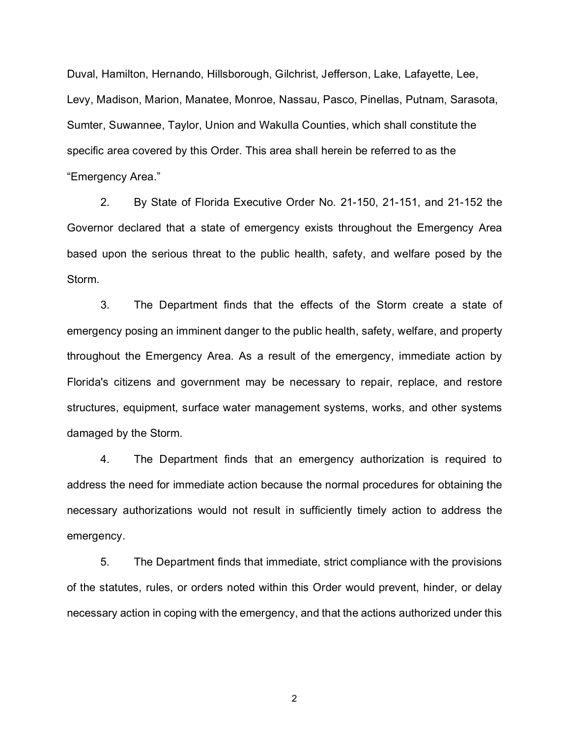Duval, Hamilton, Hernando, Hillsborough, Gilchrist, Jefferson, Lake, Lafayette, Lee, Levy, Madison, Marion, Manatee, Monroe, Nassau, Pasco, Pinellas, Putnam, Sarasota, Sumter, Suwannee, Taylor, Union and Wakulla Counties, which shall constitute the specific area covered by this Order. This area shall herein be referred to as the "Emergency Area."

2. By State of Florida Executive Order No. 21-150, 21-151, and 21-152 the Governor declared that a state of emergency exists throughout the Emergency Area based upon the serious threat to the public health, safety, and welfare posed by the Storm.

3. The Department finds that the effects of the Storm create a state of emergency posing an imminent danger to the public health, safety, welfare, and property throughout the Emergency Area. As a result of the emergency, immediate action by Florida's citizens and government may be necessary to repair, replace, and restore structures, equipment, surface water management systems, works, and other systems damaged by the Storm.

4. The Department finds that an emergency authorization is required to address the need for immediate action because the normal procedures for obtaining the necessary authorizations would not result in sufficiently timely action to address the emergency.

5. The Department finds that immediate, strict compliance with the provisions of the statutes, rules, or orders noted within this Order would prevent, hinder, or delay necessary action in coping with the emergency, and that the actions authorized under this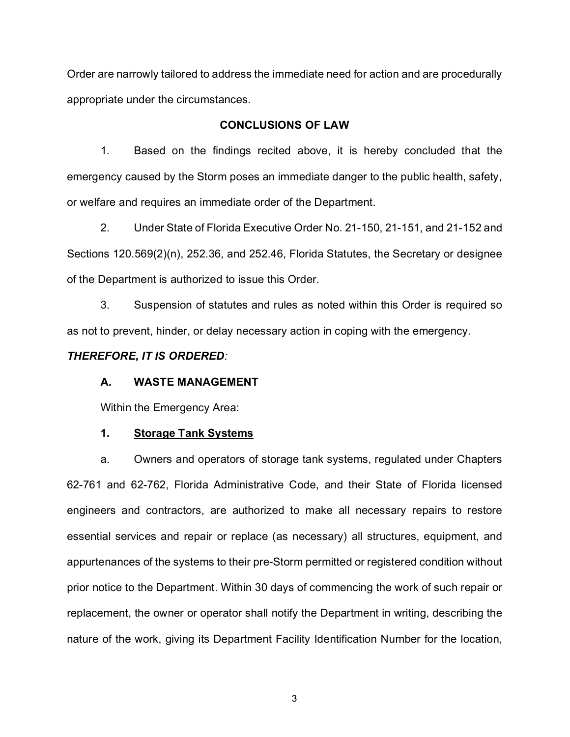Order are narrowly tailored to address the immediate need for action and are procedurally appropriate under the circumstances.

# **CONCLUSIONS OF LAW**

1. Based on the findings recited above, it is hereby concluded that the emergency caused by the Storm poses an immediate danger to the public health, safety, or welfare and requires an immediate order of the Department.

2. Under State of Florida Executive Order No. 21-150, 21-151, and 21-152 and Sections 120.569(2)(n), 252.36, and 252.46, Florida Statutes, the Secretary or designee of the Department is authorized to issue this Order.

3. Suspension of statutes and rules as noted within this Order is required so as not to prevent, hinder, or delay necessary action in coping with the emergency.

### *THEREFORE, IT IS ORDERED:*

# **A. WASTE MANAGEMENT**

Within the Emergency Area:

# **1. Storage Tank Systems**

a. Owners and operators of storage tank systems, regulated under Chapters 62-761 and 62-762, Florida Administrative Code, and their State of Florida licensed engineers and contractors, are authorized to make all necessary repairs to restore essential services and repair or replace (as necessary) all structures, equipment, and appurtenances of the systems to their pre-Storm permitted or registered condition without prior notice to the Department. Within 30 days of commencing the work of such repair or replacement, the owner or operator shall notify the Department in writing, describing the nature of the work, giving its Department Facility Identification Number for the location,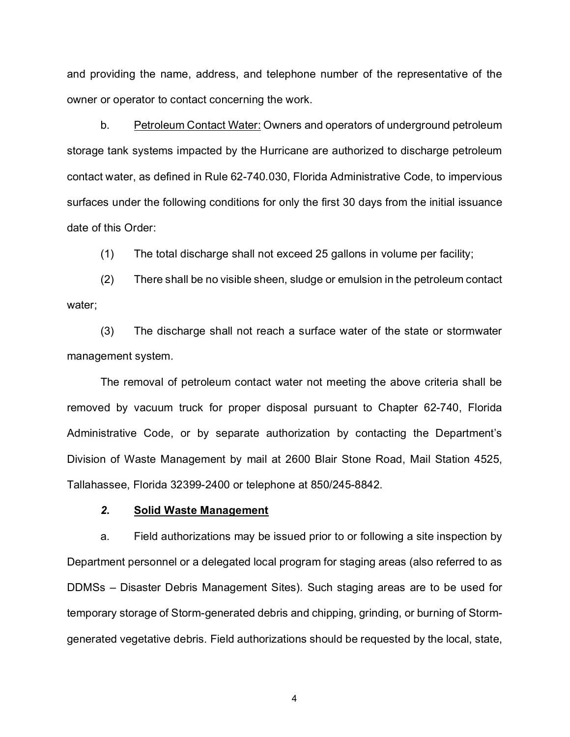and providing the name, address, and telephone number of the representative of the owner or operator to contact concerning the work.

b. Petroleum Contact Water: Owners and operators of underground petroleum storage tank systems impacted by the Hurricane are authorized to discharge petroleum contact water, as defined in Rule 62-740.030, Florida Administrative Code, to impervious surfaces under the following conditions for only the first 30 days from the initial issuance date of this Order:

(1) The total discharge shall not exceed 25 gallons in volume per facility;

(2) There shall be no visible sheen, sludge or emulsion in the petroleum contact water;

(3) The discharge shall not reach a surface water of the state or stormwater management system.

The removal of petroleum contact water not meeting the above criteria shall be removed by vacuum truck for proper disposal pursuant to Chapter 62-740, Florida Administrative Code, or by separate authorization by contacting the Department's Division of Waste Management by mail at 2600 Blair Stone Road, Mail Station 4525, Tallahassee, Florida 32399-2400 or telephone at 850/245-8842.

# *2***. Solid Waste Management**

a. Field authorizations may be issued prior to or following a site inspection by Department personnel or a delegated local program for staging areas (also referred to as DDMSs – Disaster Debris Management Sites). Such staging areas are to be used for temporary storage of Storm-generated debris and chipping, grinding, or burning of Stormgenerated vegetative debris. Field authorizations should be requested by the local, state,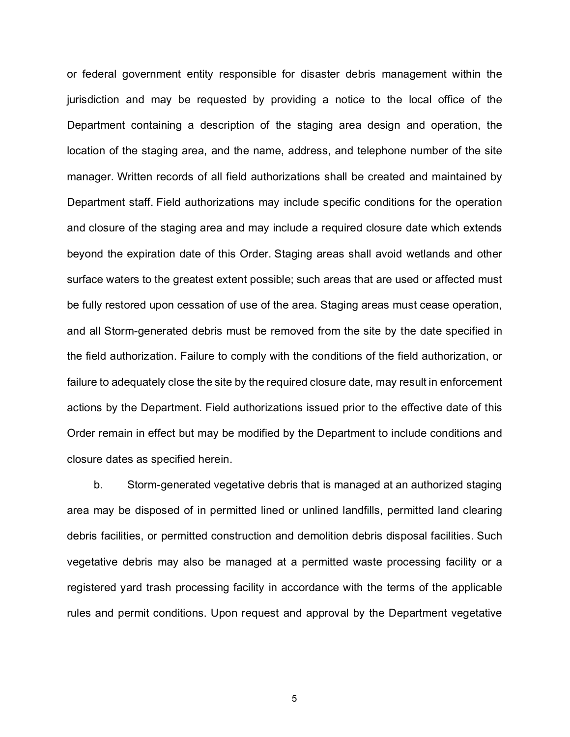or federal government entity responsible for disaster debris management within the jurisdiction and may be requested by providing a notice to the local office of the Department containing a description of the staging area design and operation, the location of the staging area, and the name, address, and telephone number of the site manager. Written records of all field authorizations shall be created and maintained by Department staff. Field authorizations may include specific conditions for the operation and closure of the staging area and may include a required closure date which extends beyond the expiration date of this Order. Staging areas shall avoid wetlands and other surface waters to the greatest extent possible; such areas that are used or affected must be fully restored upon cessation of use of the area. Staging areas must cease operation, and all Storm-generated debris must be removed from the site by the date specified in the field authorization. Failure to comply with the conditions of the field authorization, or failure to adequately close the site by the required closure date, may result in enforcement actions by the Department. Field authorizations issued prior to the effective date of this Order remain in effect but may be modified by the Department to include conditions and closure dates as specified herein.

b. Storm-generated vegetative debris that is managed at an authorized staging area may be disposed of in permitted lined or unlined landfills, permitted land clearing debris facilities, or permitted construction and demolition debris disposal facilities. Such vegetative debris may also be managed at a permitted waste processing facility or a registered yard trash processing facility in accordance with the terms of the applicable rules and permit conditions. Upon request and approval by the Department vegetative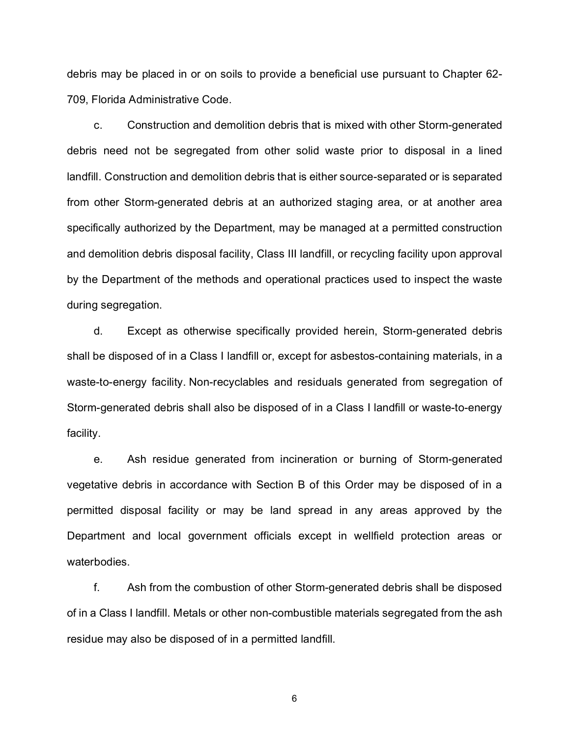debris may be placed in or on soils to provide a beneficial use pursuant to Chapter 62- 709, Florida Administrative Code.

c. Construction and demolition debris that is mixed with other Storm-generated debris need not be segregated from other solid waste prior to disposal in a lined landfill. Construction and demolition debris that is either source-separated or is separated from other Storm-generated debris at an authorized staging area, or at another area specifically authorized by the Department, may be managed at a permitted construction and demolition debris disposal facility, Class III landfill, or recycling facility upon approval by the Department of the methods and operational practices used to inspect the waste during segregation.

d. Except as otherwise specifically provided herein, Storm-generated debris shall be disposed of in a Class I landfill or, except for asbestos-containing materials, in a waste-to-energy facility. Non-recyclables and residuals generated from segregation of Storm-generated debris shall also be disposed of in a Class I landfill or waste-to-energy facility.

e. Ash residue generated from incineration or burning of Storm-generated vegetative debris in accordance with Section B of this Order may be disposed of in a permitted disposal facility or may be land spread in any areas approved by the Department and local government officials except in wellfield protection areas or waterbodies.

f. Ash from the combustion of other Storm-generated debris shall be disposed of in a Class I landfill. Metals or other non-combustible materials segregated from the ash residue may also be disposed of in a permitted landfill.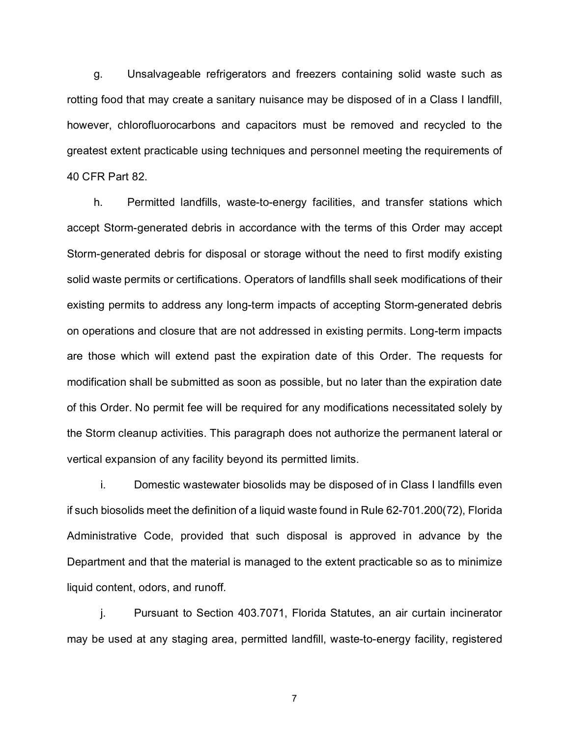g. Unsalvageable refrigerators and freezers containing solid waste such as rotting food that may create a sanitary nuisance may be disposed of in a Class I landfill, however, chlorofluorocarbons and capacitors must be removed and recycled to the greatest extent practicable using techniques and personnel meeting the requirements of 40 CFR Part 82.

h. Permitted landfills, waste-to-energy facilities, and transfer stations which accept Storm-generated debris in accordance with the terms of this Order may accept Storm-generated debris for disposal or storage without the need to first modify existing solid waste permits or certifications. Operators of landfills shall seek modifications of their existing permits to address any long-term impacts of accepting Storm-generated debris on operations and closure that are not addressed in existing permits. Long-term impacts are those which will extend past the expiration date of this Order. The requests for modification shall be submitted as soon as possible, but no later than the expiration date of this Order. No permit fee will be required for any modifications necessitated solely by the Storm cleanup activities. This paragraph does not authorize the permanent lateral or vertical expansion of any facility beyond its permitted limits.

i. Domestic wastewater biosolids may be disposed of in Class I landfills even if such biosolids meet the definition of a liquid waste found in Rule 62-701.200(72), Florida Administrative Code, provided that such disposal is approved in advance by the Department and that the material is managed to the extent practicable so as to minimize liquid content, odors, and runoff.

j. Pursuant to Section 403.7071, Florida Statutes, an air curtain incinerator may be used at any staging area, permitted landfill, waste-to-energy facility, registered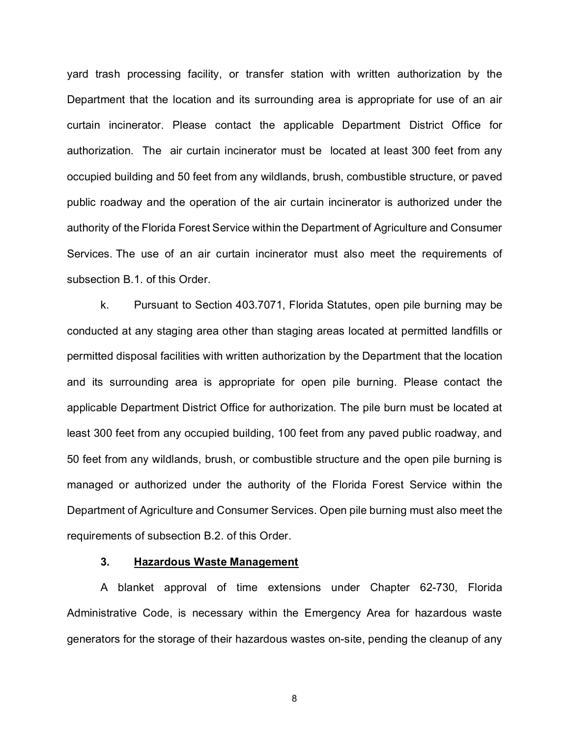yard trash processing facility, or transfer station with written authorization by the Department that the location and its surrounding area is appropriate for use of an air curtain incinerator. Please contact the applicable Department District Office for authorization. The air curtain incinerator must be located at least 300 feet from any occupied building and 50 feet from any wildlands, brush, combustible structure, or paved public roadway and the operation of the air curtain incinerator is authorized under the authority of the Florida Forest Service within the Department of Agriculture and Consumer Services. The use of an air curtain incinerator must also meet the requirements of subsection B.1. of this Order.

k. Pursuant to Section 403.7071, Florida Statutes, open pile burning may be conducted at any staging area other than staging areas located at permitted landfills or permitted disposal facilities with written authorization by the Department that the location and its surrounding area is appropriate for open pile burning. Please contact the applicable Department District Office for authorization. The pile burn must be located at least 300 feet from any occupied building, 100 feet from any paved public roadway, and 50 feet from any wildlands, brush, or combustible structure and the open pile burning is managed or authorized under the authority of the Florida Forest Service within the Department of Agriculture and Consumer Services. Open pile burning must also meet the requirements of subsection B.2. of this Order.

# **3. Hazardous Waste Management**

A blanket approval of time extensions under Chapter 62-730, Florida Administrative Code, is necessary within the Emergency Area for hazardous waste generators for the storage of their hazardous wastes on-site, pending the cleanup of any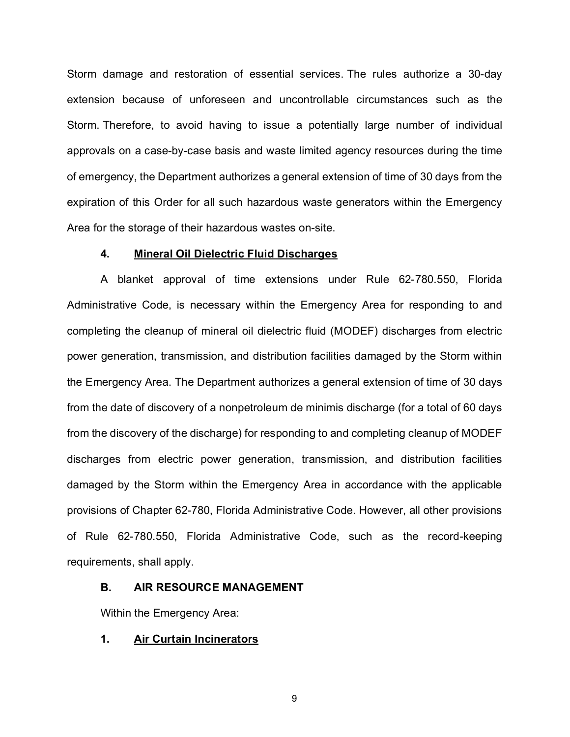Storm damage and restoration of essential services. The rules authorize a 30-day extension because of unforeseen and uncontrollable circumstances such as the Storm. Therefore, to avoid having to issue a potentially large number of individual approvals on a case-by-case basis and waste limited agency resources during the time of emergency, the Department authorizes a general extension of time of 30 days from the expiration of this Order for all such hazardous waste generators within the Emergency Area for the storage of their hazardous wastes on-site.

#### **4. Mineral Oil Dielectric Fluid Discharges**

A blanket approval of time extensions under Rule 62-780.550, Florida Administrative Code, is necessary within the Emergency Area for responding to and completing the cleanup of mineral oil dielectric fluid (MODEF) discharges from electric power generation, transmission, and distribution facilities damaged by the Storm within the Emergency Area. The Department authorizes a general extension of time of 30 days from the date of discovery of a nonpetroleum de minimis discharge (for a total of 60 days from the discovery of the discharge) for responding to and completing cleanup of MODEF discharges from electric power generation, transmission, and distribution facilities damaged by the Storm within the Emergency Area in accordance with the applicable provisions of Chapter 62-780, Florida Administrative Code. However, all other provisions of Rule 62-780.550, Florida Administrative Code, such as the record-keeping requirements, shall apply.

#### **B. AIR RESOURCE MANAGEMENT**

Within the Emergency Area:

# **1. Air Curtain Incinerators**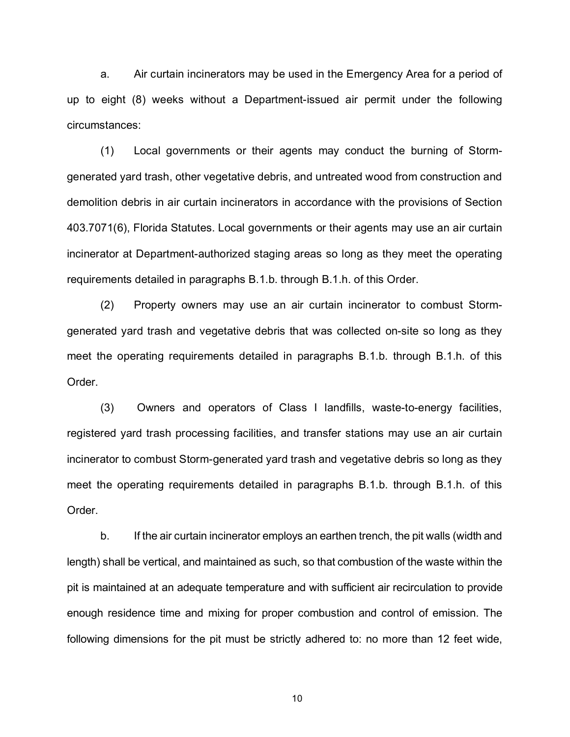a. Air curtain incinerators may be used in the Emergency Area for a period of up to eight (8) weeks without a Department-issued air permit under the following circumstances:

(1) Local governments or their agents may conduct the burning of Stormgenerated yard trash, other vegetative debris, and untreated wood from construction and demolition debris in air curtain incinerators in accordance with the provisions of Section 403.7071(6), Florida Statutes. Local governments or their agents may use an air curtain incinerator at Department-authorized staging areas so long as they meet the operating requirements detailed in paragraphs B.1.b. through B.1.h. of this Order.

(2) Property owners may use an air curtain incinerator to combust Stormgenerated yard trash and vegetative debris that was collected on-site so long as they meet the operating requirements detailed in paragraphs B.1.b. through B.1.h. of this Order.

(3) Owners and operators of Class I landfills, waste-to-energy facilities, registered yard trash processing facilities, and transfer stations may use an air curtain incinerator to combust Storm-generated yard trash and vegetative debris so long as they meet the operating requirements detailed in paragraphs B.1.b. through B.1.h. of this Order.

b. If the air curtain incinerator employs an earthen trench, the pit walls (width and length) shall be vertical, and maintained as such, so that combustion of the waste within the pit is maintained at an adequate temperature and with sufficient air recirculation to provide enough residence time and mixing for proper combustion and control of emission. The following dimensions for the pit must be strictly adhered to: no more than 12 feet wide,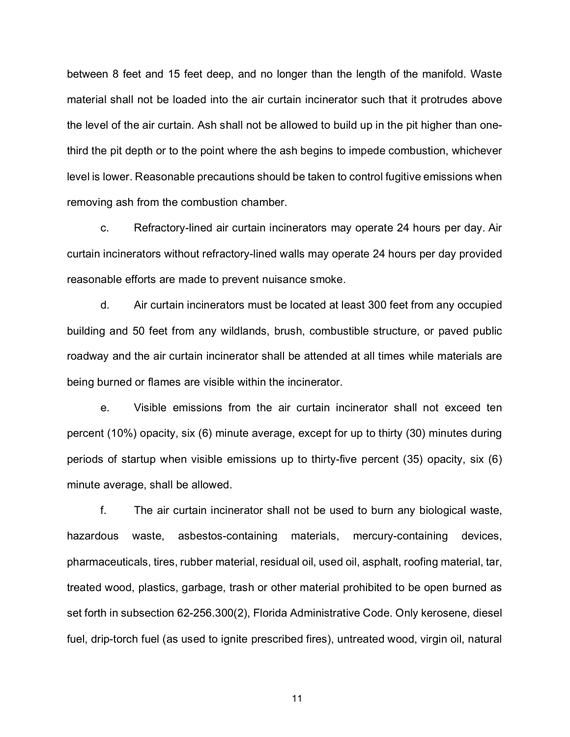between 8 feet and 15 feet deep, and no longer than the length of the manifold. Waste material shall not be loaded into the air curtain incinerator such that it protrudes above the level of the air curtain. Ash shall not be allowed to build up in the pit higher than onethird the pit depth or to the point where the ash begins to impede combustion, whichever level is lower. Reasonable precautions should be taken to control fugitive emissions when removing ash from the combustion chamber.

c. Refractory-lined air curtain incinerators may operate 24 hours per day. Air curtain incinerators without refractory-lined walls may operate 24 hours per day provided reasonable efforts are made to prevent nuisance smoke.

d. Air curtain incinerators must be located at least 300 feet from any occupied building and 50 feet from any wildlands, brush, combustible structure, or paved public roadway and the air curtain incinerator shall be attended at all times while materials are being burned or flames are visible within the incinerator.

e. Visible emissions from the air curtain incinerator shall not exceed ten percent (10%) opacity, six (6) minute average, except for up to thirty (30) minutes during periods of startup when visible emissions up to thirty-five percent (35) opacity, six (6) minute average, shall be allowed.

f. The air curtain incinerator shall not be used to burn any biological waste, hazardous waste, asbestos-containing materials, mercury-containing devices, pharmaceuticals, tires, rubber material, residual oil, used oil, asphalt, roofing material, tar, treated wood, plastics, garbage, trash or other material prohibited to be open burned as set forth in subsection 62-256.300(2), Florida Administrative Code. Only kerosene, diesel fuel, drip-torch fuel (as used to ignite prescribed fires), untreated wood, virgin oil, natural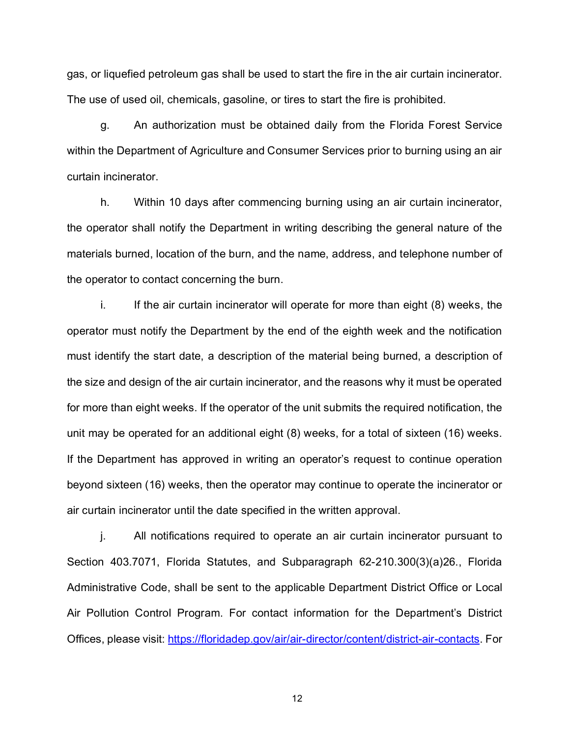gas, or liquefied petroleum gas shall be used to start the fire in the air curtain incinerator. The use of used oil, chemicals, gasoline, or tires to start the fire is prohibited.

g. An authorization must be obtained daily from the Florida Forest Service within the Department of Agriculture and Consumer Services prior to burning using an air curtain incinerator.

h. Within 10 days after commencing burning using an air curtain incinerator, the operator shall notify the Department in writing describing the general nature of the materials burned, location of the burn, and the name, address, and telephone number of the operator to contact concerning the burn.

i. If the air curtain incinerator will operate for more than eight (8) weeks, the operator must notify the Department by the end of the eighth week and the notification must identify the start date, a description of the material being burned, a description of the size and design of the air curtain incinerator, and the reasons why it must be operated for more than eight weeks. If the operator of the unit submits the required notification, the unit may be operated for an additional eight (8) weeks, for a total of sixteen (16) weeks. If the Department has approved in writing an operator's request to continue operation beyond sixteen (16) weeks, then the operator may continue to operate the incinerator or air curtain incinerator until the date specified in the written approval.

j. All notifications required to operate an air curtain incinerator pursuant to Section 403.7071, Florida Statutes, and Subparagraph 62-210.300(3)(a)26., Florida Administrative Code, shall be sent to the applicable Department District Office or Local Air Pollution Control Program. For contact information for the Department's District Offices, please visit: [https://floridadep.gov/air/air-director/content/district-air-contacts.](https://floridadep.gov/air/air-director/content/district-air-contacts) For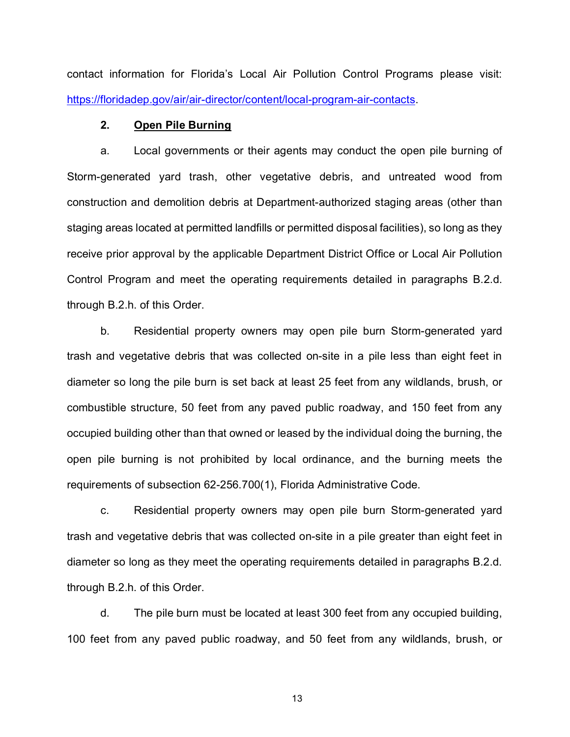contact information for Florida's Local Air Pollution Control Programs please visit: [https://floridadep.gov/air/air-director/content/local-program-air-contacts.](https://floridadep.gov/air/air-director/content/local-program-air-contacts)

# **2. Open Pile Burning**

a. Local governments or their agents may conduct the open pile burning of Storm-generated yard trash, other vegetative debris, and untreated wood from construction and demolition debris at Department-authorized staging areas (other than staging areas located at permitted landfills or permitted disposal facilities), so long as they receive prior approval by the applicable Department District Office or Local Air Pollution Control Program and meet the operating requirements detailed in paragraphs B.2.d. through B.2.h. of this Order.

b. Residential property owners may open pile burn Storm-generated yard trash and vegetative debris that was collected on-site in a pile less than eight feet in diameter so long the pile burn is set back at least 25 feet from any wildlands, brush, or combustible structure, 50 feet from any paved public roadway, and 150 feet from any occupied building other than that owned or leased by the individual doing the burning, the open pile burning is not prohibited by local ordinance, and the burning meets the requirements of subsection 62-256.700(1), Florida Administrative Code.

c. Residential property owners may open pile burn Storm-generated yard trash and vegetative debris that was collected on-site in a pile greater than eight feet in diameter so long as they meet the operating requirements detailed in paragraphs B.2.d. through B.2.h. of this Order.

d. The pile burn must be located at least 300 feet from any occupied building, 100 feet from any paved public roadway, and 50 feet from any wildlands, brush, or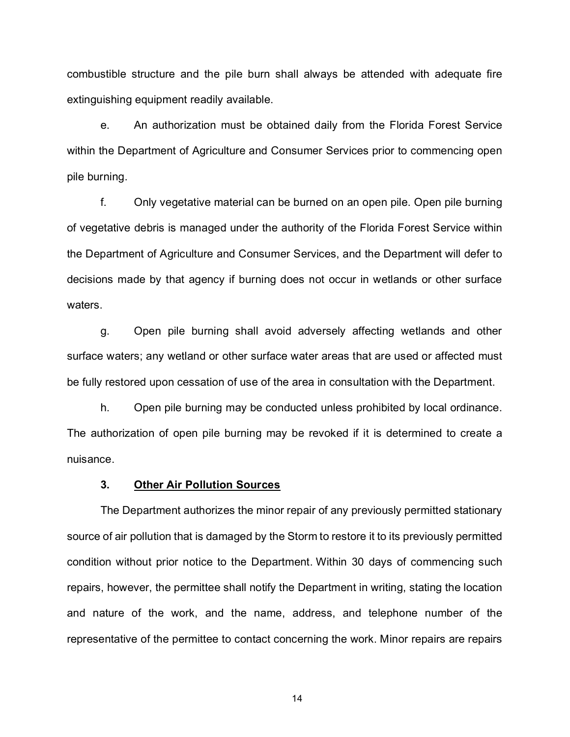combustible structure and the pile burn shall always be attended with adequate fire extinguishing equipment readily available.

e. An authorization must be obtained daily from the Florida Forest Service within the Department of Agriculture and Consumer Services prior to commencing open pile burning.

f. Only vegetative material can be burned on an open pile. Open pile burning of vegetative debris is managed under the authority of the Florida Forest Service within the Department of Agriculture and Consumer Services, and the Department will defer to decisions made by that agency if burning does not occur in wetlands or other surface waters.

g. Open pile burning shall avoid adversely affecting wetlands and other surface waters; any wetland or other surface water areas that are used or affected must be fully restored upon cessation of use of the area in consultation with the Department.

h. Open pile burning may be conducted unless prohibited by local ordinance. The authorization of open pile burning may be revoked if it is determined to create a nuisance.

# **3. Other Air Pollution Sources**

The Department authorizes the minor repair of any previously permitted stationary source of air pollution that is damaged by the Storm to restore it to its previously permitted condition without prior notice to the Department. Within 30 days of commencing such repairs, however, the permittee shall notify the Department in writing, stating the location and nature of the work, and the name, address, and telephone number of the representative of the permittee to contact concerning the work. Minor repairs are repairs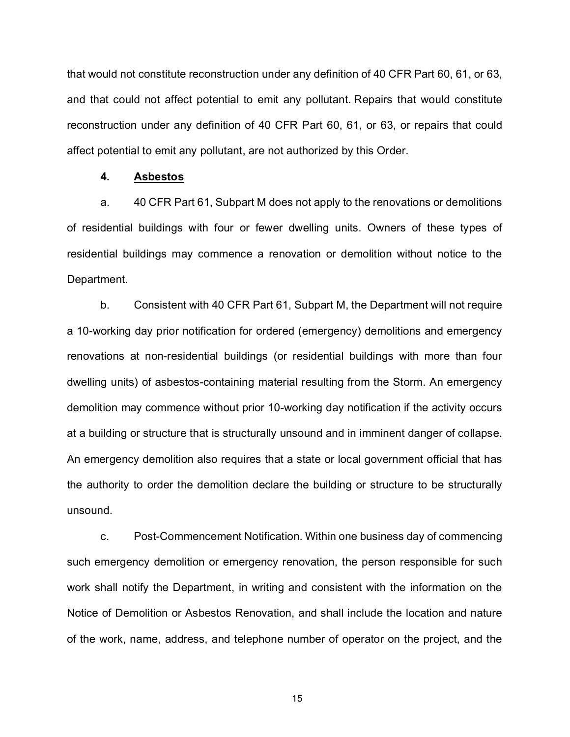that would not constitute reconstruction under any definition of 40 CFR Part 60, 61, or 63, and that could not affect potential to emit any pollutant. Repairs that would constitute reconstruction under any definition of 40 CFR Part 60, 61, or 63, or repairs that could affect potential to emit any pollutant, are not authorized by this Order.

# **4. Asbestos**

a. 40 CFR Part 61, Subpart M does not apply to the renovations or demolitions of residential buildings with four or fewer dwelling units. Owners of these types of residential buildings may commence a renovation or demolition without notice to the Department.

b. Consistent with 40 CFR Part 61, Subpart M, the Department will not require a 10-working day prior notification for ordered (emergency) demolitions and emergency renovations at non-residential buildings (or residential buildings with more than four dwelling units) of asbestos-containing material resulting from the Storm. An emergency demolition may commence without prior 10-working day notification if the activity occurs at a building or structure that is structurally unsound and in imminent danger of collapse. An emergency demolition also requires that a state or local government official that has the authority to order the demolition declare the building or structure to be structurally unsound.

c. Post-Commencement Notification. Within one business day of commencing such emergency demolition or emergency renovation, the person responsible for such work shall notify the Department, in writing and consistent with the information on the Notice of Demolition or Asbestos Renovation, and shall include the location and nature of the work, name, address, and telephone number of operator on the project, and the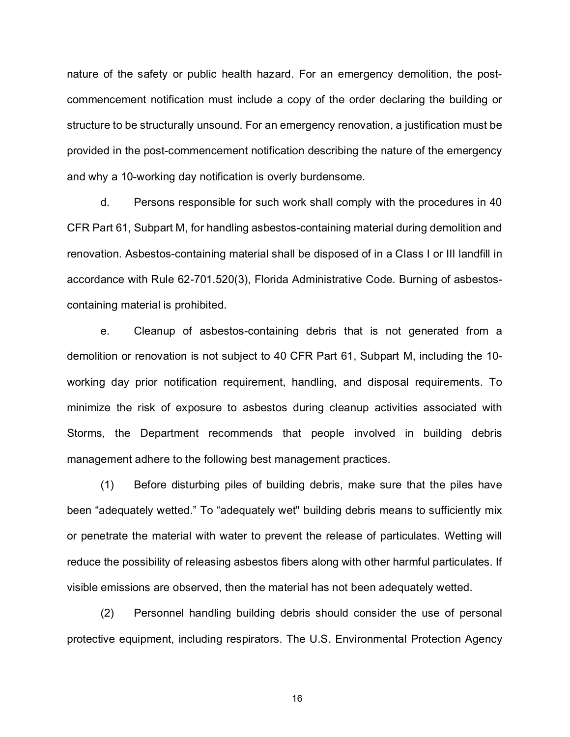nature of the safety or public health hazard. For an emergency demolition, the postcommencement notification must include a copy of the order declaring the building or structure to be structurally unsound. For an emergency renovation, a justification must be provided in the post-commencement notification describing the nature of the emergency and why a 10-working day notification is overly burdensome.

d. Persons responsible for such work shall comply with the procedures in 40 CFR Part 61, Subpart M, for handling asbestos-containing material during demolition and renovation. Asbestos-containing material shall be disposed of in a Class I or III landfill in accordance with Rule 62-701.520(3), Florida Administrative Code. Burning of asbestoscontaining material is prohibited.

e. Cleanup of asbestos-containing debris that is not generated from a demolition or renovation is not subject to 40 CFR Part 61, Subpart M, including the 10 working day prior notification requirement, handling, and disposal requirements. To minimize the risk of exposure to asbestos during cleanup activities associated with Storms, the Department recommends that people involved in building debris management adhere to the following best management practices.

(1) Before disturbing piles of building debris, make sure that the piles have been "adequately wetted." To "adequately wet" building debris means to sufficiently mix or penetrate the material with water to prevent the release of particulates. Wetting will reduce the possibility of releasing asbestos fibers along with other harmful particulates. If visible emissions are observed, then the material has not been adequately wetted.

(2) Personnel handling building debris should consider the use of personal protective equipment, including respirators. The U.S. Environmental Protection Agency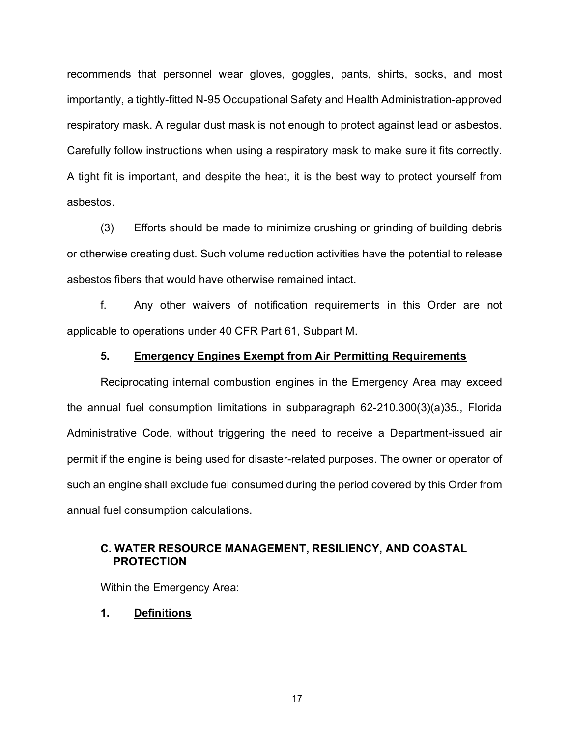recommends that personnel wear gloves, goggles, pants, shirts, socks, and most importantly, a tightly-fitted N-95 Occupational Safety and Health Administration-approved respiratory mask. A regular dust mask is not enough to protect against lead or asbestos. Carefully follow instructions when using a respiratory mask to make sure it fits correctly. A tight fit is important, and despite the heat, it is the best way to protect yourself from asbestos.

(3) Efforts should be made to minimize crushing or grinding of building debris or otherwise creating dust. Such volume reduction activities have the potential to release asbestos fibers that would have otherwise remained intact.

f. Any other waivers of notification requirements in this Order are not applicable to operations under 40 CFR Part 61, Subpart M.

# **5. Emergency Engines Exempt from Air Permitting Requirements**

Reciprocating internal combustion engines in the Emergency Area may exceed the annual fuel consumption limitations in subparagraph 62-210.300(3)(a)35., Florida Administrative Code, without triggering the need to receive a Department-issued air permit if the engine is being used for disaster-related purposes. The owner or operator of such an engine shall exclude fuel consumed during the period covered by this Order from annual fuel consumption calculations.

# **C. WATER RESOURCE MANAGEMENT, RESILIENCY, AND COASTAL PROTECTION**

Within the Emergency Area:

**1. Definitions**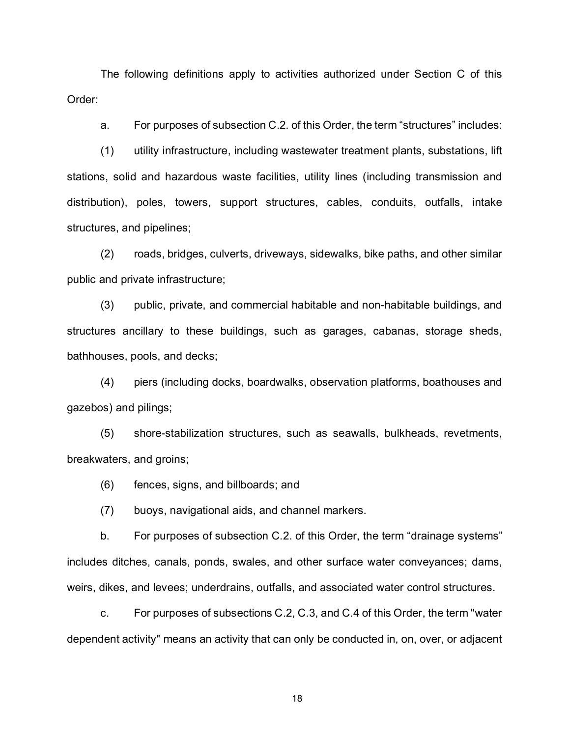The following definitions apply to activities authorized under Section C of this Order:

a. For purposes of subsection C.2. of this Order, the term "structures" includes:

(1) utility infrastructure, including wastewater treatment plants, substations, lift stations, solid and hazardous waste facilities, utility lines (including transmission and distribution), poles, towers, support structures, cables, conduits, outfalls, intake structures, and pipelines;

(2) roads, bridges, culverts, driveways, sidewalks, bike paths, and other similar public and private infrastructure;

(3) public, private, and commercial habitable and non-habitable buildings, and structures ancillary to these buildings, such as garages, cabanas, storage sheds, bathhouses, pools, and decks;

(4) piers (including docks, boardwalks, observation platforms, boathouses and gazebos) and pilings;

(5) shore-stabilization structures, such as seawalls, bulkheads, revetments, breakwaters, and groins;

(6) fences, signs, and billboards; and

(7) buoys, navigational aids, and channel markers.

b. For purposes of subsection C.2. of this Order, the term "drainage systems" includes ditches, canals, ponds, swales, and other surface water conveyances; dams, weirs, dikes, and levees; underdrains, outfalls, and associated water control structures.

c. For purposes of subsections C.2, C.3, and C.4 of this Order, the term "water dependent activity" means an activity that can only be conducted in, on, over, or adjacent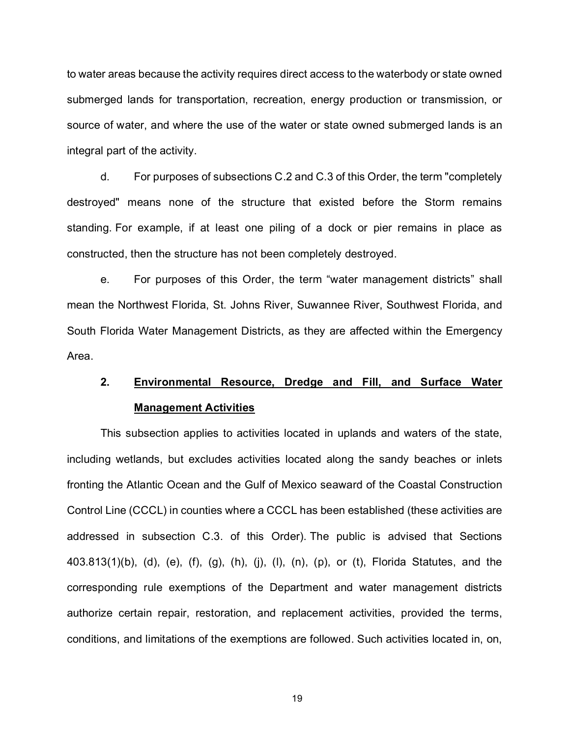to water areas because the activity requires direct access to the waterbody or state owned submerged lands for transportation, recreation, energy production or transmission, or source of water, and where the use of the water or state owned submerged lands is an integral part of the activity.

d. For purposes of subsections C.2 and C.3 of this Order, the term "completely destroyed" means none of the structure that existed before the Storm remains standing. For example, if at least one piling of a dock or pier remains in place as constructed, then the structure has not been completely destroyed.

e. For purposes of this Order, the term "water management districts" shall mean the Northwest Florida, St. Johns River, Suwannee River, Southwest Florida, and South Florida Water Management Districts, as they are affected within the Emergency Area.

# **2. Environmental Resource, Dredge and Fill, and Surface Water Management Activities**

This subsection applies to activities located in uplands and waters of the state, including wetlands, but excludes activities located along the sandy beaches or inlets fronting the Atlantic Ocean and the Gulf of Mexico seaward of the Coastal Construction Control Line (CCCL) in counties where a CCCL has been established (these activities are addressed in subsection C.3. of this Order). The public is advised that Sections 403.813(1)(b), (d), (e), (f), (g), (h), (j), (l), (n), (p), or (t), Florida Statutes, and the corresponding rule exemptions of the Department and water management districts authorize certain repair, restoration, and replacement activities, provided the terms, conditions, and limitations of the exemptions are followed. Such activities located in, on,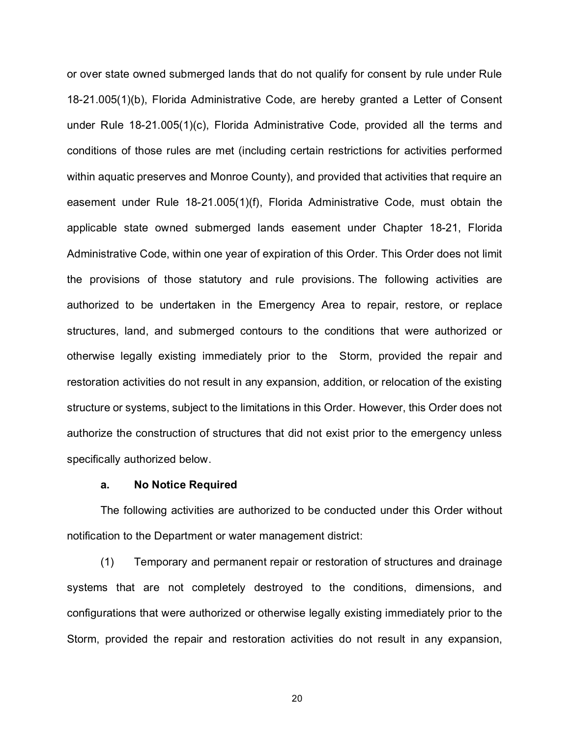or over state owned submerged lands that do not qualify for consent by rule under Rule 18-21.005(1)(b), Florida Administrative Code, are hereby granted a Letter of Consent under Rule 18-21.005(1)(c), Florida Administrative Code, provided all the terms and conditions of those rules are met (including certain restrictions for activities performed within aquatic preserves and Monroe County), and provided that activities that require an easement under Rule 18-21.005(1)(f), Florida Administrative Code, must obtain the applicable state owned submerged lands easement under Chapter 18-21, Florida Administrative Code, within one year of expiration of this Order. This Order does not limit the provisions of those statutory and rule provisions. The following activities are authorized to be undertaken in the Emergency Area to repair, restore, or replace structures, land, and submerged contours to the conditions that were authorized or otherwise legally existing immediately prior to the Storm, provided the repair and restoration activities do not result in any expansion, addition, or relocation of the existing structure or systems, subject to the limitations in this Order. However, this Order does not authorize the construction of structures that did not exist prior to the emergency unless specifically authorized below.

#### **a. No Notice Required**

The following activities are authorized to be conducted under this Order without notification to the Department or water management district:

(1) Temporary and permanent repair or restoration of structures and drainage systems that are not completely destroyed to the conditions, dimensions, and configurations that were authorized or otherwise legally existing immediately prior to the Storm, provided the repair and restoration activities do not result in any expansion,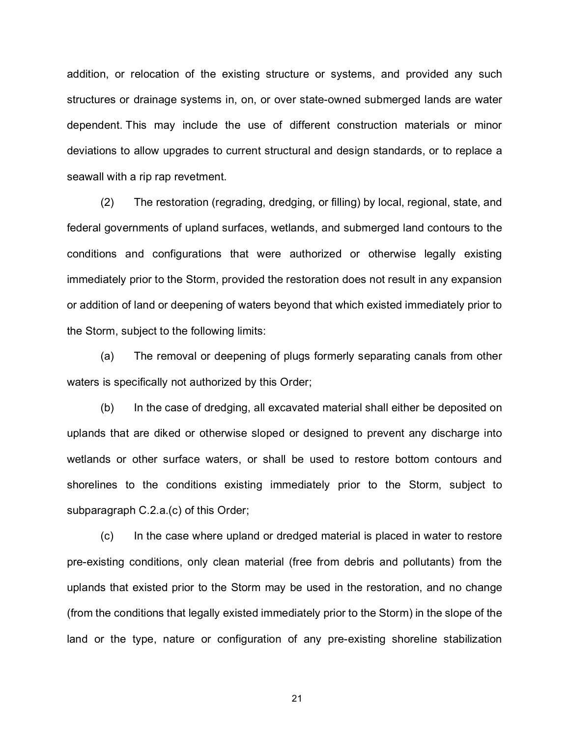addition, or relocation of the existing structure or systems, and provided any such structures or drainage systems in, on, or over state-owned submerged lands are water dependent. This may include the use of different construction materials or minor deviations to allow upgrades to current structural and design standards, or to replace a seawall with a rip rap revetment.

(2) The restoration (regrading, dredging, or filling) by local, regional, state, and federal governments of upland surfaces, wetlands, and submerged land contours to the conditions and configurations that were authorized or otherwise legally existing immediately prior to the Storm, provided the restoration does not result in any expansion or addition of land or deepening of waters beyond that which existed immediately prior to the Storm, subject to the following limits:

(a) The removal or deepening of plugs formerly separating canals from other waters is specifically not authorized by this Order;

(b) In the case of dredging, all excavated material shall either be deposited on uplands that are diked or otherwise sloped or designed to prevent any discharge into wetlands or other surface waters, or shall be used to restore bottom contours and shorelines to the conditions existing immediately prior to the Storm, subject to subparagraph C.2.a.(c) of this Order;

(c) In the case where upland or dredged material is placed in water to restore pre-existing conditions, only clean material (free from debris and pollutants) from the uplands that existed prior to the Storm may be used in the restoration, and no change (from the conditions that legally existed immediately prior to the Storm) in the slope of the land or the type, nature or configuration of any pre-existing shoreline stabilization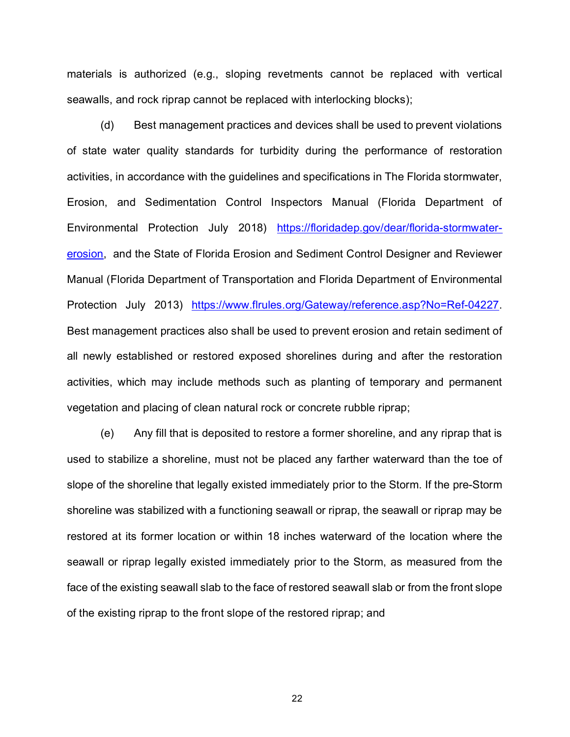materials is authorized (e.g., sloping revetments cannot be replaced with vertical seawalls, and rock riprap cannot be replaced with interlocking blocks);

(d) Best management practices and devices shall be used to prevent violations of state water quality standards for turbidity during the performance of restoration activities, in accordance with the guidelines and specifications in The Florida stormwater, Erosion, and Sedimentation Control Inspectors Manual (Florida Department of Environmental Protection July 2018) [https://floridadep.gov/dear/florida-stormwater](https://floridadep.gov/dear/florida-stormwater-erosion)[erosion,](https://floridadep.gov/dear/florida-stormwater-erosion) and the State of Florida Erosion and Sediment Control Designer and Reviewer Manual (Florida Department of Transportation and Florida Department of Environmental Protection July 2013) [https://www.flrules.org/Gateway/reference.asp?No=Ref-04227.](https://www.flrules.org/Gateway/reference.asp?No=Ref-04227) Best management practices also shall be used to prevent erosion and retain sediment of all newly established or restored exposed shorelines during and after the restoration activities, which may include methods such as planting of temporary and permanent vegetation and placing of clean natural rock or concrete rubble riprap;

(e) Any fill that is deposited to restore a former shoreline, and any riprap that is used to stabilize a shoreline, must not be placed any farther waterward than the toe of slope of the shoreline that legally existed immediately prior to the Storm. If the pre-Storm shoreline was stabilized with a functioning seawall or riprap, the seawall or riprap may be restored at its former location or within 18 inches waterward of the location where the seawall or riprap legally existed immediately prior to the Storm, as measured from the face of the existing seawall slab to the face of restored seawall slab or from the front slope of the existing riprap to the front slope of the restored riprap; and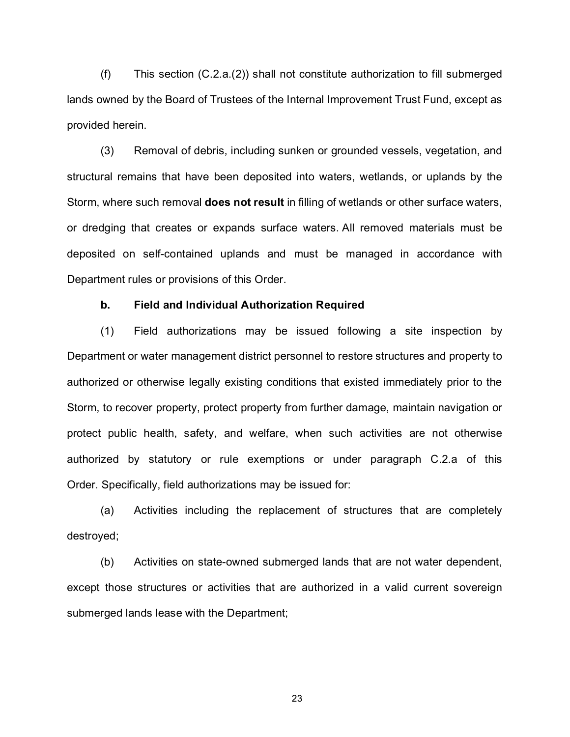(f) This section (C.2.a.(2)) shall not constitute authorization to fill submerged lands owned by the Board of Trustees of the Internal Improvement Trust Fund, except as provided herein.

(3) Removal of debris, including sunken or grounded vessels, vegetation, and structural remains that have been deposited into waters, wetlands, or uplands by the Storm, where such removal **does not result** in filling of wetlands or other surface waters, or dredging that creates or expands surface waters. All removed materials must be deposited on self-contained uplands and must be managed in accordance with Department rules or provisions of this Order.

#### **b. Field and Individual Authorization Required**

(1) Field authorizations may be issued following a site inspection by Department or water management district personnel to restore structures and property to authorized or otherwise legally existing conditions that existed immediately prior to the Storm, to recover property, protect property from further damage, maintain navigation or protect public health, safety, and welfare, when such activities are not otherwise authorized by statutory or rule exemptions or under paragraph C.2.a of this Order. Specifically, field authorizations may be issued for:

(a) Activities including the replacement of structures that are completely destroyed;

(b) Activities on state-owned submerged lands that are not water dependent, except those structures or activities that are authorized in a valid current sovereign submerged lands lease with the Department;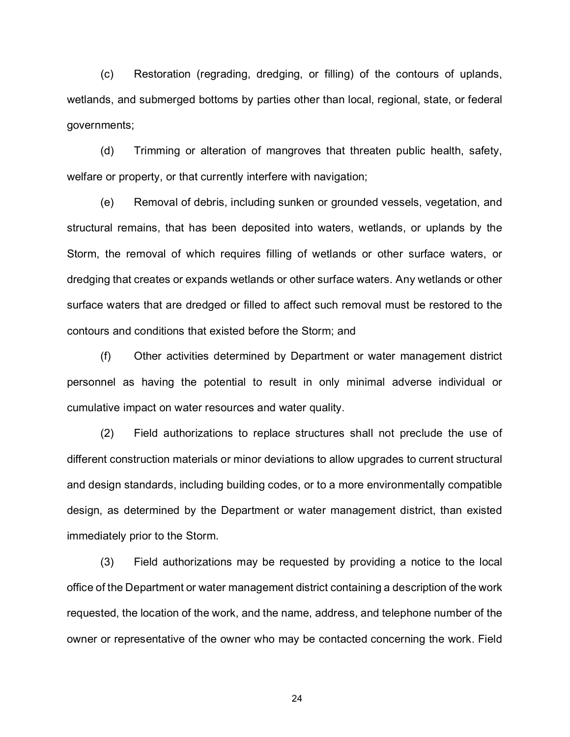(c) Restoration (regrading, dredging, or filling) of the contours of uplands, wetlands, and submerged bottoms by parties other than local, regional, state, or federal governments;

(d) Trimming or alteration of mangroves that threaten public health, safety, welfare or property, or that currently interfere with navigation;

(e) Removal of debris, including sunken or grounded vessels, vegetation, and structural remains, that has been deposited into waters, wetlands, or uplands by the Storm, the removal of which requires filling of wetlands or other surface waters, or dredging that creates or expands wetlands or other surface waters. Any wetlands or other surface waters that are dredged or filled to affect such removal must be restored to the contours and conditions that existed before the Storm; and

(f) Other activities determined by Department or water management district personnel as having the potential to result in only minimal adverse individual or cumulative impact on water resources and water quality.

(2) Field authorizations to replace structures shall not preclude the use of different construction materials or minor deviations to allow upgrades to current structural and design standards, including building codes, or to a more environmentally compatible design, as determined by the Department or water management district, than existed immediately prior to the Storm.

(3) Field authorizations may be requested by providing a notice to the local office of the Department or water management district containing a description of the work requested, the location of the work, and the name, address, and telephone number of the owner or representative of the owner who may be contacted concerning the work. Field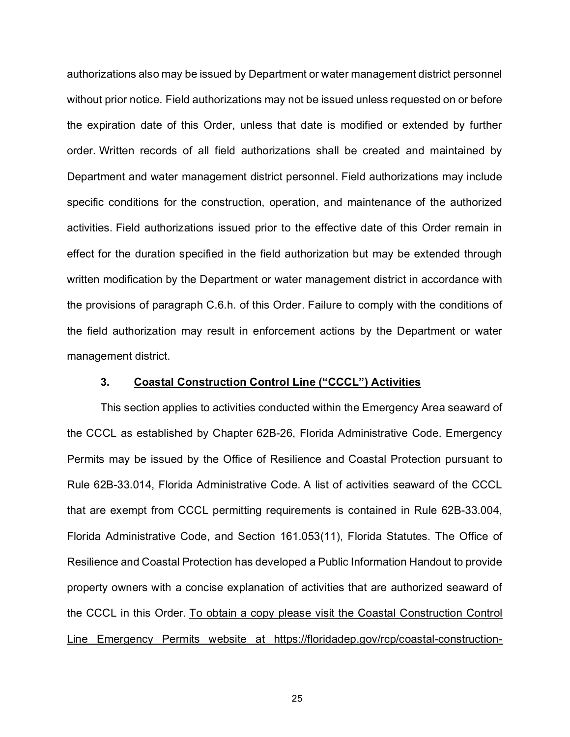authorizations also may be issued by Department or water management district personnel without prior notice. Field authorizations may not be issued unless requested on or before the expiration date of this Order, unless that date is modified or extended by further order. Written records of all field authorizations shall be created and maintained by Department and water management district personnel. Field authorizations may include specific conditions for the construction, operation, and maintenance of the authorized activities. Field authorizations issued prior to the effective date of this Order remain in effect for the duration specified in the field authorization but may be extended through written modification by the Department or water management district in accordance with the provisions of paragraph C.6.h. of this Order. Failure to comply with the conditions of the field authorization may result in enforcement actions by the Department or water management district.

# **3. Coastal Construction Control Line ("CCCL") Activities**

This section applies to activities conducted within the Emergency Area seaward of the CCCL as established by Chapter 62B-26, Florida Administrative Code. Emergency Permits may be issued by the Office of Resilience and Coastal Protection pursuant to Rule 62B-33.014, Florida Administrative Code. A list of activities seaward of the CCCL that are exempt from CCCL permitting requirements is contained in Rule 62B-33.004, Florida Administrative Code, and Section 161.053(11), Florida Statutes. The Office of Resilience and Coastal Protection has developed a Public Information Handout to provide property owners with a concise explanation of activities that are authorized seaward of the CCCL in this Order. To obtain a copy please visit the Coastal Construction Control Line Emergency Permits website at https://floridadep.gov/rcp/coastal-construction-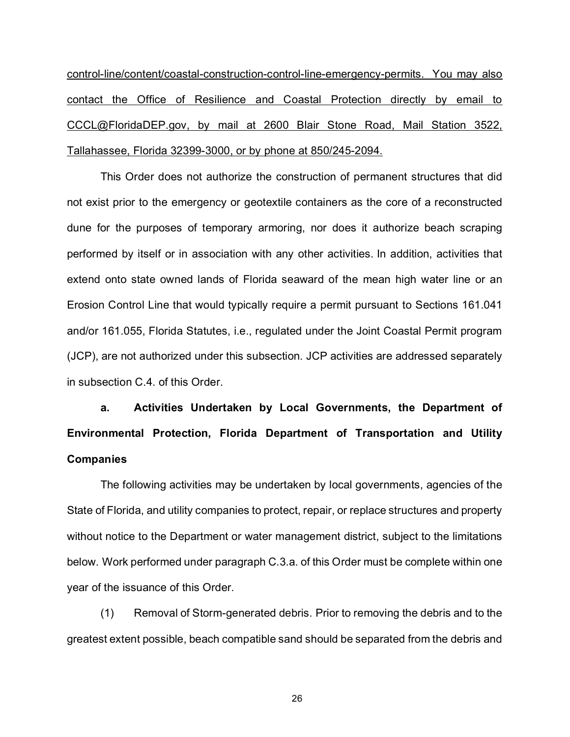control-line/content/coastal-construction-control-line-emergency-permits. You may also contact the Office of Resilience and Coastal Protection directly by email to CCCL@FloridaDEP.gov, by mail at 2600 Blair Stone Road, Mail Station 3522, Tallahassee, Florida 32399-3000, or by phone at 850/245-2094.

This Order does not authorize the construction of permanent structures that did not exist prior to the emergency or geotextile containers as the core of a reconstructed dune for the purposes of temporary armoring, nor does it authorize beach scraping performed by itself or in association with any other activities. In addition, activities that extend onto state owned lands of Florida seaward of the mean high water line or an Erosion Control Line that would typically require a permit pursuant to Sections 161.041 and/or 161.055, Florida Statutes, i.e., regulated under the Joint Coastal Permit program (JCP), are not authorized under this subsection. JCP activities are addressed separately in subsection C.4. of this Order.

**a. Activities Undertaken by Local Governments, the Department of Environmental Protection, Florida Department of Transportation and Utility Companies**

The following activities may be undertaken by local governments, agencies of the State of Florida, and utility companies to protect, repair, or replace structures and property without notice to the Department or water management district, subject to the limitations below. Work performed under paragraph C.3.a. of this Order must be complete within one year of the issuance of this Order.

(1) Removal of Storm-generated debris. Prior to removing the debris and to the greatest extent possible, beach compatible sand should be separated from the debris and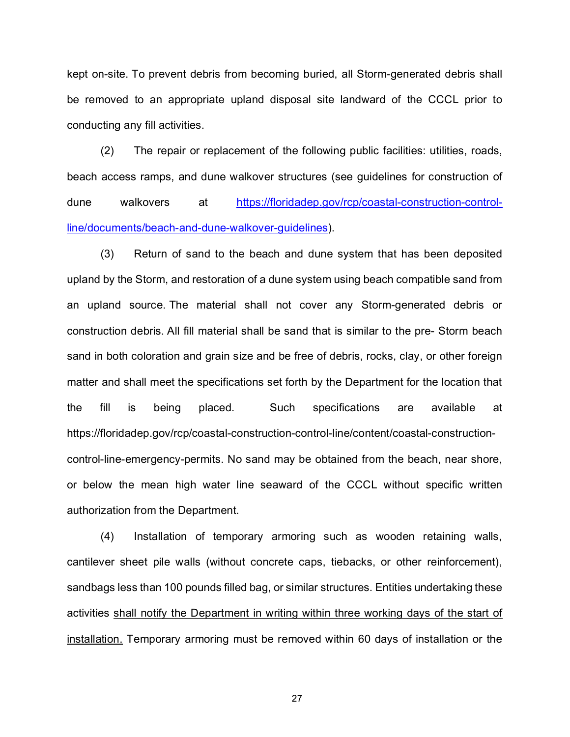kept on-site. To prevent debris from becoming buried, all Storm-generated debris shall be removed to an appropriate upland disposal site landward of the CCCL prior to conducting any fill activities.

(2) The repair or replacement of the following public facilities: utilities, roads, beach access ramps, and dune walkover structures (see guidelines for construction of dune walkovers at [https://floridadep.gov/rcp/coastal-construction-control](https://floridadep.gov/rcp/coastal-construction-control-line/documents/beach-and-dune-walkover-guidelines)[line/documents/beach-and-dune-walkover-guidelines\)](https://floridadep.gov/rcp/coastal-construction-control-line/documents/beach-and-dune-walkover-guidelines).

(3) Return of sand to the beach and dune system that has been deposited upland by the Storm, and restoration of a dune system using beach compatible sand from an upland source. The material shall not cover any Storm-generated debris or construction debris. All fill material shall be sand that is similar to the pre- Storm beach sand in both coloration and grain size and be free of debris, rocks, clay, or other foreign matter and shall meet the specifications set forth by the Department for the location that the fill is being placed. Such specifications are available at https://floridadep.gov/rcp/coastal-construction-control-line/content/coastal-constructioncontrol-line-emergency-permits. No sand may be obtained from the beach, near shore, or below the mean high water line seaward of the CCCL without specific written authorization from the Department.

(4) Installation of temporary armoring such as wooden retaining walls, cantilever sheet pile walls (without concrete caps, tiebacks, or other reinforcement), sandbags less than 100 pounds filled bag, or similar structures. Entities undertaking these activities shall notify the Department in writing within three working days of the start of installation. Temporary armoring must be removed within 60 days of installation or the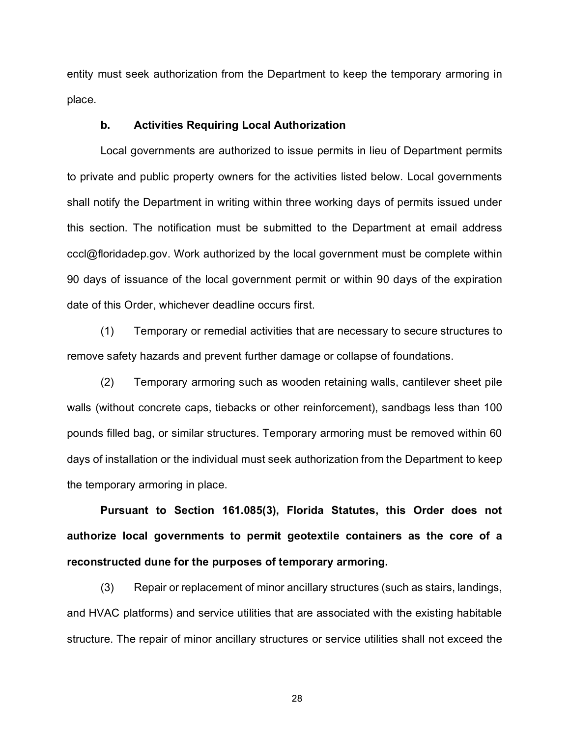entity must seek authorization from the Department to keep the temporary armoring in place.

#### **b. Activities Requiring Local Authorization**

Local governments are authorized to issue permits in lieu of Department permits to private and public property owners for the activities listed below. Local governments shall notify the Department in writing within three working days of permits issued under this section. The notification must be submitted to the Department at email address cccl@floridadep.gov. Work authorized by the local government must be complete within 90 days of issuance of the local government permit or within 90 days of the expiration date of this Order, whichever deadline occurs first.

(1) Temporary or remedial activities that are necessary to secure structures to remove safety hazards and prevent further damage or collapse of foundations.

(2) Temporary armoring such as wooden retaining walls, cantilever sheet pile walls (without concrete caps, tiebacks or other reinforcement), sandbags less than 100 pounds filled bag, or similar structures. Temporary armoring must be removed within 60 days of installation or the individual must seek authorization from the Department to keep the temporary armoring in place.

**Pursuant to Section 161.085(3), Florida Statutes, this Order does not authorize local governments to permit geotextile containers as the core of a reconstructed dune for the purposes of temporary armoring.**

(3) Repair or replacement of minor ancillary structures (such as stairs, landings, and HVAC platforms) and service utilities that are associated with the existing habitable structure. The repair of minor ancillary structures or service utilities shall not exceed the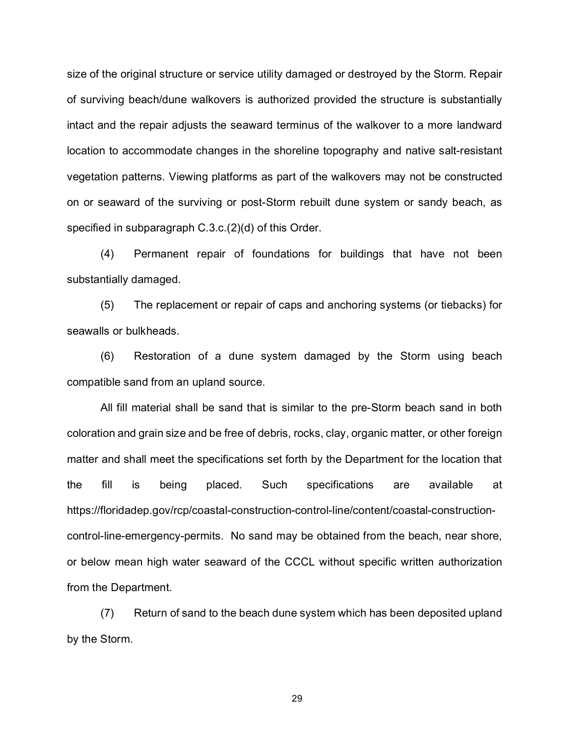size of the original structure or service utility damaged or destroyed by the Storm. Repair of surviving beach/dune walkovers is authorized provided the structure is substantially intact and the repair adjusts the seaward terminus of the walkover to a more landward location to accommodate changes in the shoreline topography and native salt-resistant vegetation patterns. Viewing platforms as part of the walkovers may not be constructed on or seaward of the surviving or post-Storm rebuilt dune system or sandy beach, as specified in subparagraph C.3.c.(2)(d) of this Order.

(4) Permanent repair of foundations for buildings that have not been substantially damaged.

(5) The replacement or repair of caps and anchoring systems (or tiebacks) for seawalls or bulkheads.

(6) Restoration of a dune system damaged by the Storm using beach compatible sand from an upland source.

All fill material shall be sand that is similar to the pre-Storm beach sand in both coloration and grain size and be free of debris, rocks, clay, organic matter, or other foreign matter and shall meet the specifications set forth by the Department for the location that the fill is being placed. Such specifications are available at https://floridadep.gov/rcp/coastal-construction-control-line/content/coastal-constructioncontrol-line-emergency-permits. No sand may be obtained from the beach, near shore, or below mean high water seaward of the CCCL without specific written authorization from the Department.

(7) Return of sand to the beach dune system which has been deposited upland by the Storm.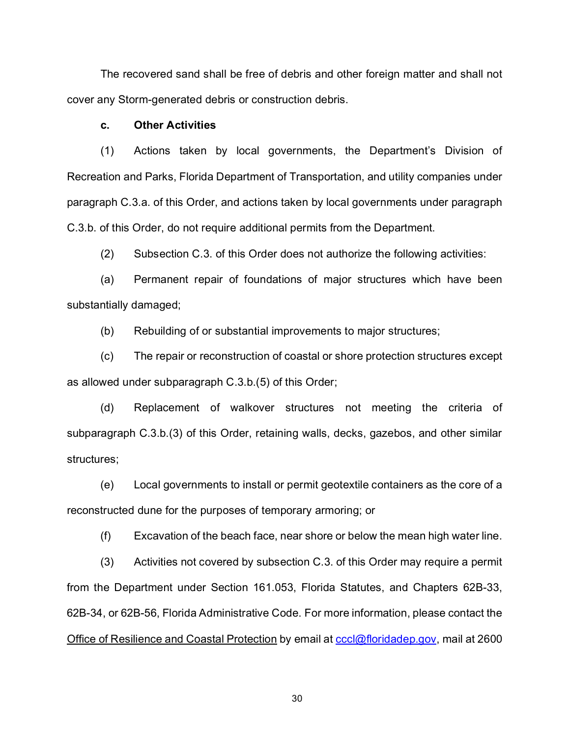The recovered sand shall be free of debris and other foreign matter and shall not cover any Storm-generated debris or construction debris.

#### **c. Other Activities**

(1) Actions taken by local governments, the Department's Division of Recreation and Parks, Florida Department of Transportation, and utility companies under paragraph C.3.a. of this Order, and actions taken by local governments under paragraph C.3.b. of this Order, do not require additional permits from the Department.

(2) Subsection C.3. of this Order does not authorize the following activities:

(a) Permanent repair of foundations of major structures which have been substantially damaged;

(b) Rebuilding of or substantial improvements to major structures;

(c) The repair or reconstruction of coastal or shore protection structures except as allowed under subparagraph C.3.b.(5) of this Order;

(d) Replacement of walkover structures not meeting the criteria of subparagraph C.3.b.(3) of this Order, retaining walls, decks, gazebos, and other similar structures;

(e) Local governments to install or permit geotextile containers as the core of a reconstructed dune for the purposes of temporary armoring; or

(f) Excavation of the beach face, near shore or below the mean high water line.

(3) Activities not covered by subsection C.3. of this Order may require a permit from the Department under Section 161.053, Florida Statutes, and Chapters 62B-33, 62B-34, or 62B-56, Florida Administrative Code. For more information, please contact the Office of Resilience and Coastal Protection by email at [cccl@floridadep.gov,](mailto:cccl@floridadep.gov) mail at 2600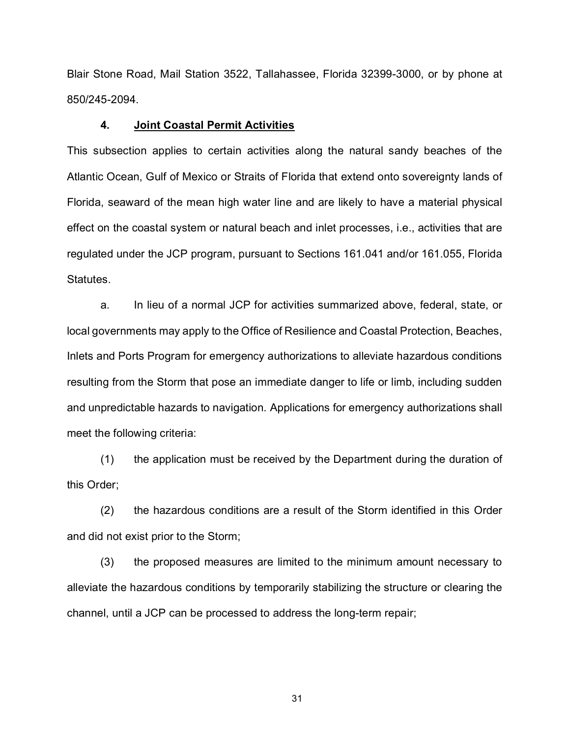Blair Stone Road, Mail Station 3522, Tallahassee, Florida 32399-3000, or by phone at 850/245-2094.

#### **4. Joint Coastal Permit Activities**

This subsection applies to certain activities along the natural sandy beaches of the Atlantic Ocean, Gulf of Mexico or Straits of Florida that extend onto sovereignty lands of Florida, seaward of the mean high water line and are likely to have a material physical effect on the coastal system or natural beach and inlet processes, i.e., activities that are regulated under the JCP program, pursuant to Sections 161.041 and/or 161.055, Florida Statutes.

a. In lieu of a normal JCP for activities summarized above, federal, state, or local governments may apply to the Office of Resilience and Coastal Protection, Beaches, Inlets and Ports Program for emergency authorizations to alleviate hazardous conditions resulting from the Storm that pose an immediate danger to life or limb, including sudden and unpredictable hazards to navigation. Applications for emergency authorizations shall meet the following criteria:

(1) the application must be received by the Department during the duration of this Order;

(2) the hazardous conditions are a result of the Storm identified in this Order and did not exist prior to the Storm;

(3) the proposed measures are limited to the minimum amount necessary to alleviate the hazardous conditions by temporarily stabilizing the structure or clearing the channel, until a JCP can be processed to address the long-term repair;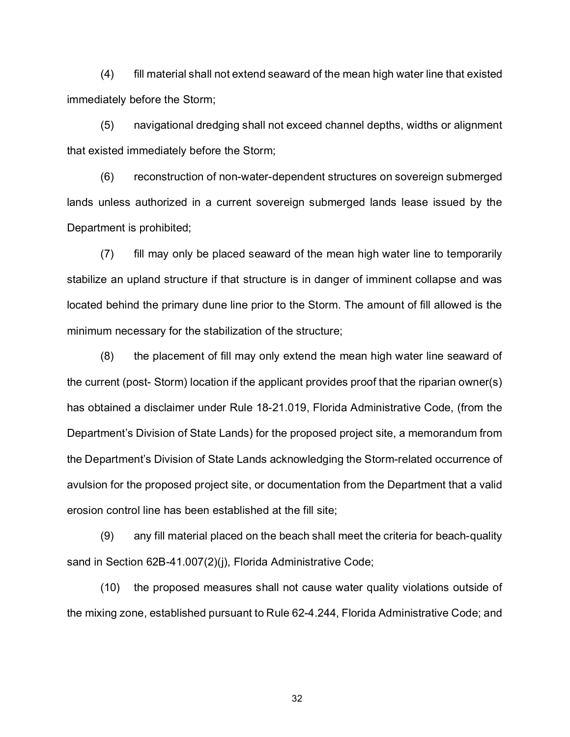(4) fill material shall not extend seaward of the mean high water line that existed immediately before the Storm;

(5) navigational dredging shall not exceed channel depths, widths or alignment that existed immediately before the Storm;

(6) reconstruction of non-water-dependent structures on sovereign submerged lands unless authorized in a current sovereign submerged lands lease issued by the Department is prohibited;

(7) fill may only be placed seaward of the mean high water line to temporarily stabilize an upland structure if that structure is in danger of imminent collapse and was located behind the primary dune line prior to the Storm. The amount of fill allowed is the minimum necessary for the stabilization of the structure;

(8) the placement of fill may only extend the mean high water line seaward of the current (post- Storm) location if the applicant provides proof that the riparian owner(s) has obtained a disclaimer under Rule 18-21.019, Florida Administrative Code, (from the Department's Division of State Lands) for the proposed project site, a memorandum from the Department's Division of State Lands acknowledging the Storm-related occurrence of avulsion for the proposed project site, or documentation from the Department that a valid erosion control line has been established at the fill site;

(9) any fill material placed on the beach shall meet the criteria for beach-quality sand in Section 62B-41.007(2)(j), Florida Administrative Code;

(10) the proposed measures shall not cause water quality violations outside of the mixing zone, established pursuant to Rule 62-4.244, Florida Administrative Code; and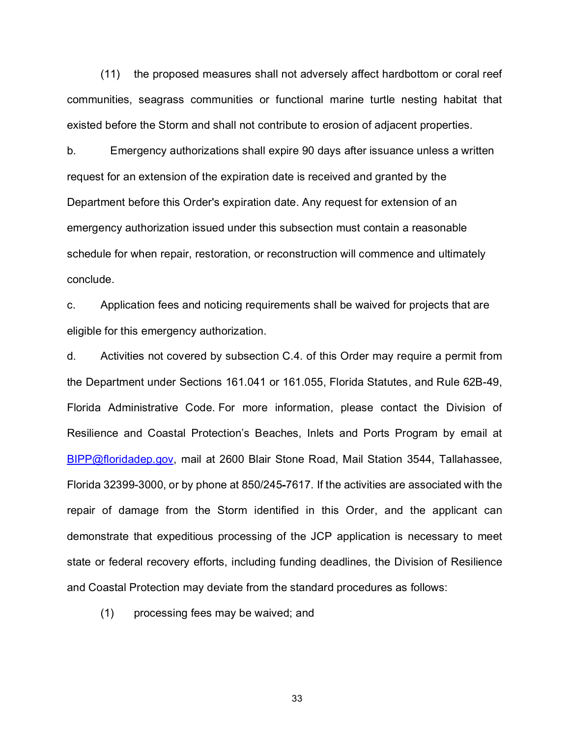(11) the proposed measures shall not adversely affect hardbottom or coral reef communities, seagrass communities or functional marine turtle nesting habitat that existed before the Storm and shall not contribute to erosion of adjacent properties.

b. Emergency authorizations shall expire 90 days after issuance unless a written request for an extension of the expiration date is received and granted by the Department before this Order's expiration date. Any request for extension of an emergency authorization issued under this subsection must contain a reasonable schedule for when repair, restoration, or reconstruction will commence and ultimately conclude.

c. Application fees and noticing requirements shall be waived for projects that are eligible for this emergency authorization.

d. Activities not covered by subsection C.4. of this Order may require a permit from the Department under Sections 161.041 or 161.055, Florida Statutes, and Rule 62B-49, Florida Administrative Code. For more information, please contact the Division of Resilience and Coastal Protection's Beaches, Inlets and Ports Program by email at [BIPP@floridadep.gov,](mailto:BIPP@floridadep.gov) mail at 2600 Blair Stone Road, Mail Station 3544, Tallahassee, Florida 32399-3000, or by phone at 850/245-7617. If the activities are associated with the repair of damage from the Storm identified in this Order, and the applicant can demonstrate that expeditious processing of the JCP application is necessary to meet state or federal recovery efforts, including funding deadlines, the Division of Resilience and Coastal Protection may deviate from the standard procedures as follows:

(1) processing fees may be waived; and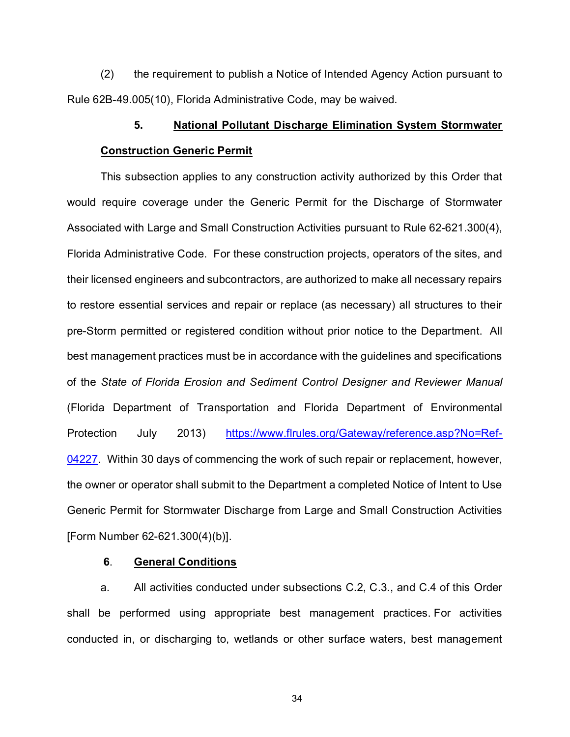(2) the requirement to publish a Notice of Intended Agency Action pursuant to Rule 62B-49.005(10), Florida Administrative Code, may be waived.

# **5. National Pollutant Discharge Elimination System Stormwater Construction Generic Permit**

This subsection applies to any construction activity authorized by this Order that would require coverage under the Generic Permit for the Discharge of Stormwater Associated with Large and Small Construction Activities pursuant to Rule 62-621.300(4), Florida Administrative Code. For these construction projects, operators of the sites, and their licensed engineers and subcontractors, are authorized to make all necessary repairs to restore essential services and repair or replace (as necessary) all structures to their pre-Storm permitted or registered condition without prior notice to the Department. All best management practices must be in accordance with the guidelines and specifications of the *State of Florida Erosion and Sediment Control Designer and Reviewer Manual* (Florida Department of Transportation and Florida Department of Environmental Protection July 2013) [https://www.flrules.org/Gateway/reference.asp?No=Ref-](https://www.flrules.org/Gateway/reference.asp?No=Ref-04227)[04227.](https://www.flrules.org/Gateway/reference.asp?No=Ref-04227) Within 30 days of commencing the work of such repair or replacement, however, the owner or operator shall submit to the Department a completed Notice of Intent to Use Generic Permit for Stormwater Discharge from Large and Small Construction Activities [Form Number 62-621.300(4)(b)].

# **6**. **General Conditions**

a. All activities conducted under subsections C.2, C.3., and C.4 of this Order shall be performed using appropriate best management practices. For activities conducted in, or discharging to, wetlands or other surface waters, best management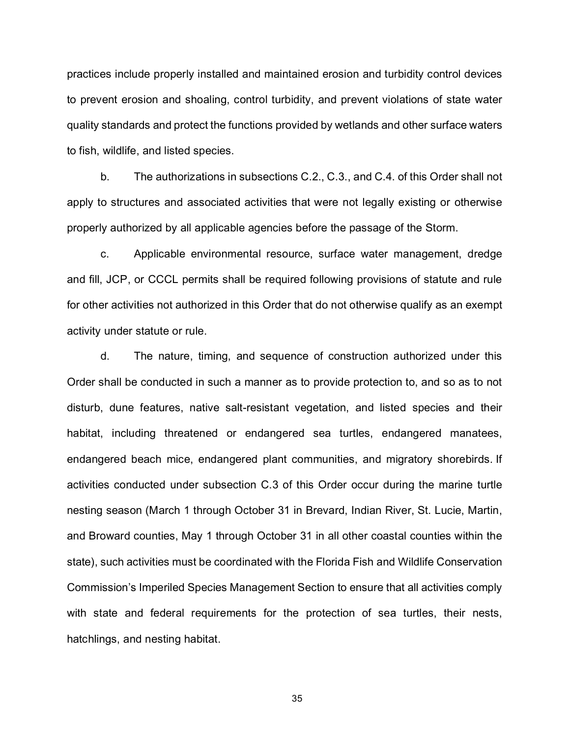practices include properly installed and maintained erosion and turbidity control devices to prevent erosion and shoaling, control turbidity, and prevent violations of state water quality standards and protect the functions provided by wetlands and other surface waters to fish, wildlife, and listed species.

b. The authorizations in subsections C.2., C.3., and C.4. of this Order shall not apply to structures and associated activities that were not legally existing or otherwise properly authorized by all applicable agencies before the passage of the Storm.

c. Applicable environmental resource, surface water management, dredge and fill, JCP, or CCCL permits shall be required following provisions of statute and rule for other activities not authorized in this Order that do not otherwise qualify as an exempt activity under statute or rule.

d. The nature, timing, and sequence of construction authorized under this Order shall be conducted in such a manner as to provide protection to, and so as to not disturb, dune features, native salt-resistant vegetation, and listed species and their habitat, including threatened or endangered sea turtles, endangered manatees, endangered beach mice, endangered plant communities, and migratory shorebirds. If activities conducted under subsection C.3 of this Order occur during the marine turtle nesting season (March 1 through October 31 in Brevard, Indian River, St. Lucie, Martin, and Broward counties, May 1 through October 31 in all other coastal counties within the state), such activities must be coordinated with the Florida Fish and Wildlife Conservation Commission's Imperiled Species Management Section to ensure that all activities comply with state and federal requirements for the protection of sea turtles, their nests, hatchlings, and nesting habitat.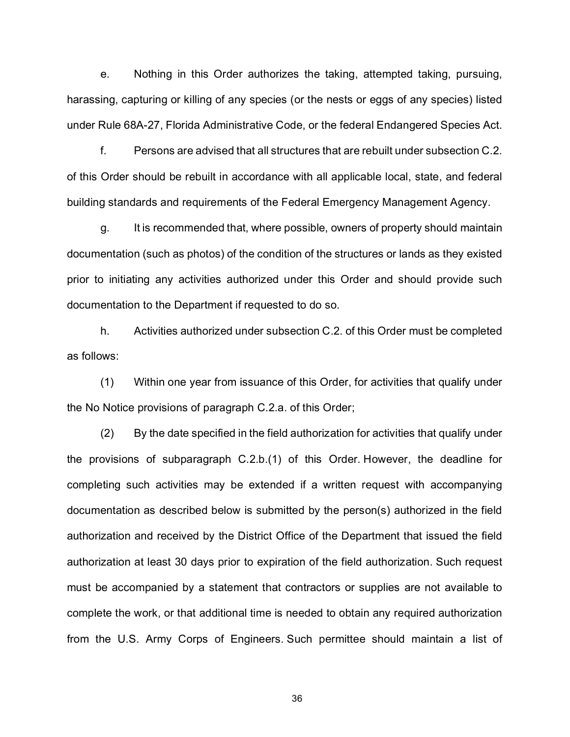e. Nothing in this Order authorizes the taking, attempted taking, pursuing, harassing, capturing or killing of any species (or the nests or eggs of any species) listed under Rule 68A-27, Florida Administrative Code, or the federal Endangered Species Act.

f. Persons are advised that all structures that are rebuilt under subsection C.2. of this Order should be rebuilt in accordance with all applicable local, state, and federal building standards and requirements of the Federal Emergency Management Agency.

g. It is recommended that, where possible, owners of property should maintain documentation (such as photos) of the condition of the structures or lands as they existed prior to initiating any activities authorized under this Order and should provide such documentation to the Department if requested to do so.

h. Activities authorized under subsection C.2. of this Order must be completed as follows:

(1) Within one year from issuance of this Order, for activities that qualify under the No Notice provisions of paragraph C.2.a. of this Order;

(2) By the date specified in the field authorization for activities that qualify under the provisions of subparagraph C.2.b.(1) of this Order. However, the deadline for completing such activities may be extended if a written request with accompanying documentation as described below is submitted by the person(s) authorized in the field authorization and received by the District Office of the Department that issued the field authorization at least 30 days prior to expiration of the field authorization. Such request must be accompanied by a statement that contractors or supplies are not available to complete the work, or that additional time is needed to obtain any required authorization from the U.S. Army Corps of Engineers. Such permittee should maintain a list of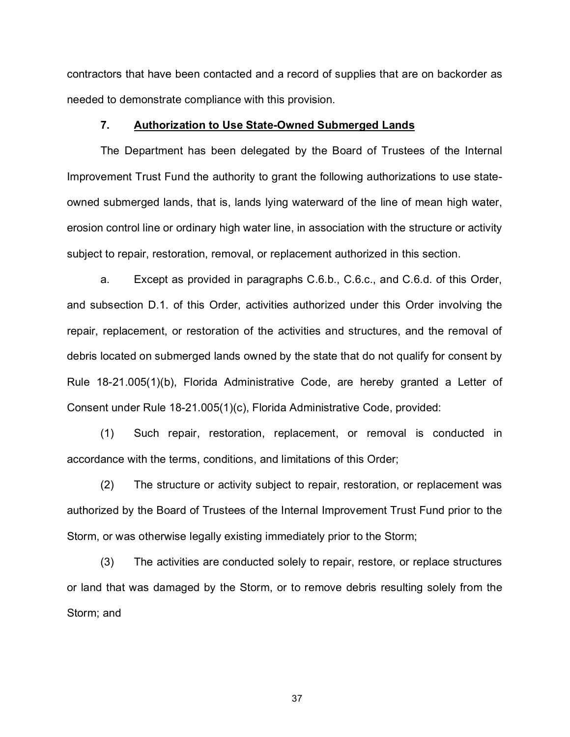contractors that have been contacted and a record of supplies that are on backorder as needed to demonstrate compliance with this provision.

# **7. Authorization to Use State-Owned Submerged Lands**

The Department has been delegated by the Board of Trustees of the Internal Improvement Trust Fund the authority to grant the following authorizations to use stateowned submerged lands, that is, lands lying waterward of the line of mean high water, erosion control line or ordinary high water line, in association with the structure or activity subject to repair, restoration, removal, or replacement authorized in this section.

a. Except as provided in paragraphs C.6.b., C.6.c., and C.6.d. of this Order, and subsection D.1. of this Order, activities authorized under this Order involving the repair, replacement, or restoration of the activities and structures, and the removal of debris located on submerged lands owned by the state that do not qualify for consent by Rule 18-21.005(1)(b), Florida Administrative Code, are hereby granted a Letter of Consent under Rule 18-21.005(1)(c), Florida Administrative Code, provided:

(1) Such repair, restoration, replacement, or removal is conducted in accordance with the terms, conditions, and limitations of this Order;

(2) The structure or activity subject to repair, restoration, or replacement was authorized by the Board of Trustees of the Internal Improvement Trust Fund prior to the Storm, or was otherwise legally existing immediately prior to the Storm;

(3) The activities are conducted solely to repair, restore, or replace structures or land that was damaged by the Storm, or to remove debris resulting solely from the Storm; and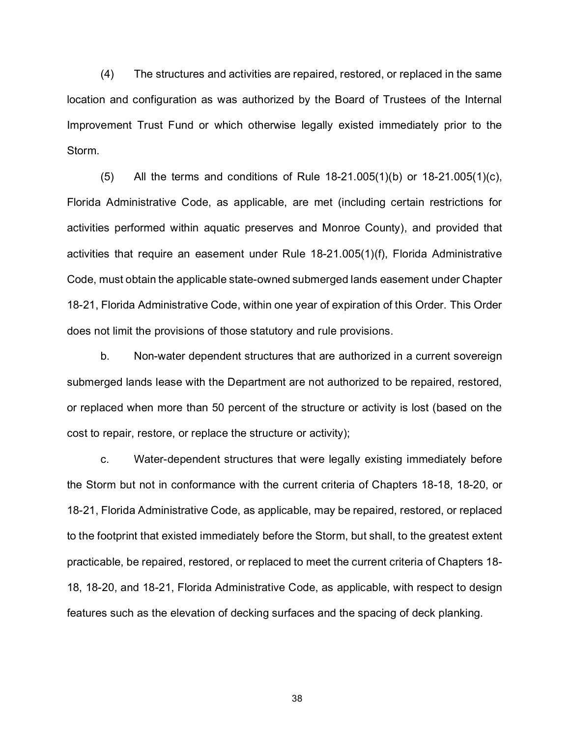(4) The structures and activities are repaired, restored, or replaced in the same location and configuration as was authorized by the Board of Trustees of the Internal Improvement Trust Fund or which otherwise legally existed immediately prior to the Storm.

 $(5)$  All the terms and conditions of Rule 18-21.005(1)(b) or 18-21.005(1)(c), Florida Administrative Code, as applicable, are met (including certain restrictions for activities performed within aquatic preserves and Monroe County), and provided that activities that require an easement under Rule 18-21.005(1)(f), Florida Administrative Code, must obtain the applicable state-owned submerged lands easement under Chapter 18-21, Florida Administrative Code, within one year of expiration of this Order. This Order does not limit the provisions of those statutory and rule provisions.

b. Non-water dependent structures that are authorized in a current sovereign submerged lands lease with the Department are not authorized to be repaired, restored, or replaced when more than 50 percent of the structure or activity is lost (based on the cost to repair, restore, or replace the structure or activity);

c. Water-dependent structures that were legally existing immediately before the Storm but not in conformance with the current criteria of Chapters 18-18, 18-20, or 18-21, Florida Administrative Code, as applicable, may be repaired, restored, or replaced to the footprint that existed immediately before the Storm, but shall, to the greatest extent practicable, be repaired, restored, or replaced to meet the current criteria of Chapters 18- 18, 18-20, and 18-21, Florida Administrative Code, as applicable, with respect to design features such as the elevation of decking surfaces and the spacing of deck planking.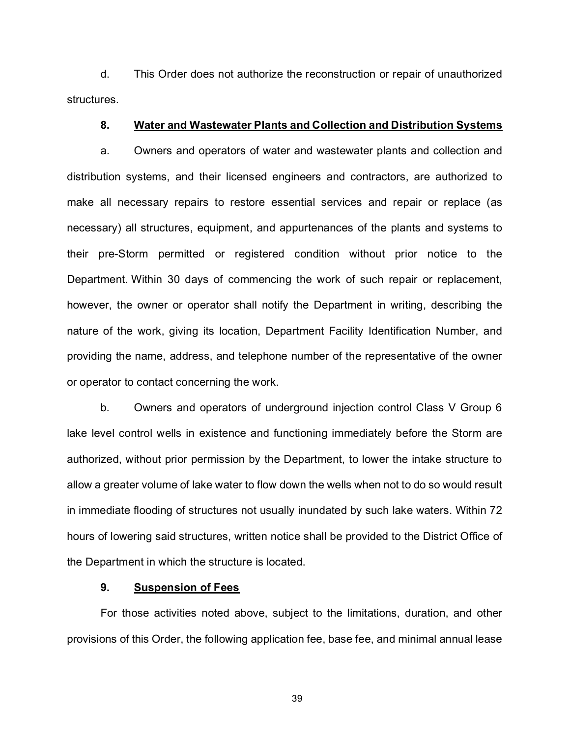d. This Order does not authorize the reconstruction or repair of unauthorized structures.

#### **8. Water and Wastewater Plants and Collection and Distribution Systems**

a. Owners and operators of water and wastewater plants and collection and distribution systems, and their licensed engineers and contractors, are authorized to make all necessary repairs to restore essential services and repair or replace (as necessary) all structures, equipment, and appurtenances of the plants and systems to their pre-Storm permitted or registered condition without prior notice to the Department. Within 30 days of commencing the work of such repair or replacement, however, the owner or operator shall notify the Department in writing, describing the nature of the work, giving its location, Department Facility Identification Number, and providing the name, address, and telephone number of the representative of the owner or operator to contact concerning the work.

b. Owners and operators of underground injection control Class V Group 6 lake level control wells in existence and functioning immediately before the Storm are authorized, without prior permission by the Department, to lower the intake structure to allow a greater volume of lake water to flow down the wells when not to do so would result in immediate flooding of structures not usually inundated by such lake waters. Within 72 hours of lowering said structures, written notice shall be provided to the District Office of the Department in which the structure is located.

#### **9. Suspension of Fees**

For those activities noted above, subject to the limitations, duration, and other provisions of this Order, the following application fee, base fee, and minimal annual lease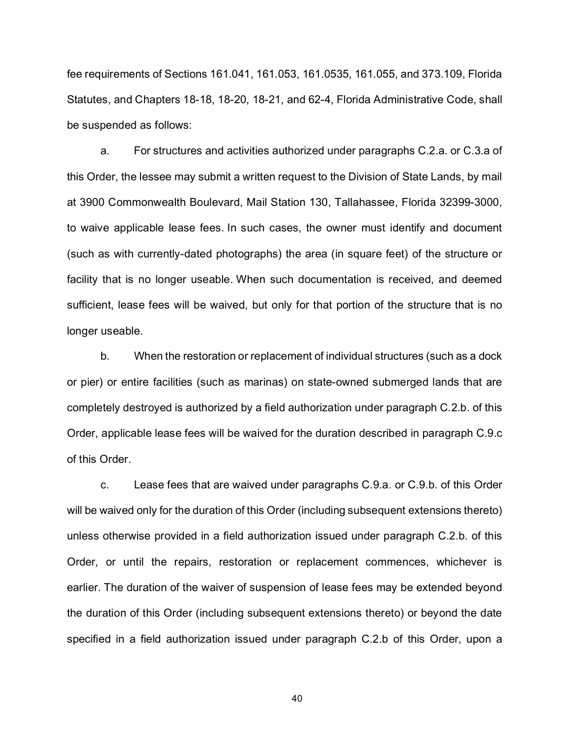fee requirements of Sections 161.041, 161.053, 161.0535, 161.055, and 373.109, Florida Statutes, and Chapters 18-18, 18-20, 18-21, and 62-4, Florida Administrative Code, shall be suspended as follows:

a. For structures and activities authorized under paragraphs C.2.a. or C.3.a of this Order, the lessee may submit a written request to the Division of State Lands, by mail at 3900 Commonwealth Boulevard, Mail Station 130, Tallahassee, Florida 32399-3000, to waive applicable lease fees. In such cases, the owner must identify and document (such as with currently-dated photographs) the area (in square feet) of the structure or facility that is no longer useable. When such documentation is received, and deemed sufficient, lease fees will be waived, but only for that portion of the structure that is no longer useable.

b. When the restoration or replacement of individual structures (such as a dock or pier) or entire facilities (such as marinas) on state-owned submerged lands that are completely destroyed is authorized by a field authorization under paragraph C.2.b. of this Order, applicable lease fees will be waived for the duration described in paragraph C.9.c of this Order.

c. Lease fees that are waived under paragraphs C.9.a. or C.9.b. of this Order will be waived only for the duration of this Order (including subsequent extensions thereto) unless otherwise provided in a field authorization issued under paragraph C.2.b. of this Order, or until the repairs, restoration or replacement commences, whichever is earlier. The duration of the waiver of suspension of lease fees may be extended beyond the duration of this Order (including subsequent extensions thereto) or beyond the date specified in a field authorization issued under paragraph C.2.b of this Order, upon a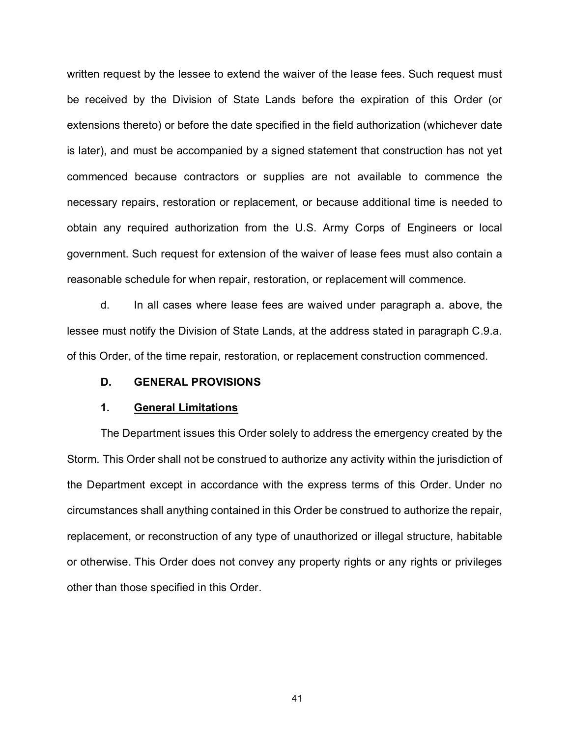written request by the lessee to extend the waiver of the lease fees. Such request must be received by the Division of State Lands before the expiration of this Order (or extensions thereto) or before the date specified in the field authorization (whichever date is later), and must be accompanied by a signed statement that construction has not yet commenced because contractors or supplies are not available to commence the necessary repairs, restoration or replacement, or because additional time is needed to obtain any required authorization from the U.S. Army Corps of Engineers or local government. Such request for extension of the waiver of lease fees must also contain a reasonable schedule for when repair, restoration, or replacement will commence.

d. In all cases where lease fees are waived under paragraph a. above, the lessee must notify the Division of State Lands, at the address stated in paragraph C.9.a. of this Order, of the time repair, restoration, or replacement construction commenced.

# **D. GENERAL PROVISIONS**

### **1. General Limitations**

The Department issues this Order solely to address the emergency created by the Storm. This Order shall not be construed to authorize any activity within the jurisdiction of the Department except in accordance with the express terms of this Order. Under no circumstances shall anything contained in this Order be construed to authorize the repair, replacement, or reconstruction of any type of unauthorized or illegal structure, habitable or otherwise. This Order does not convey any property rights or any rights or privileges other than those specified in this Order.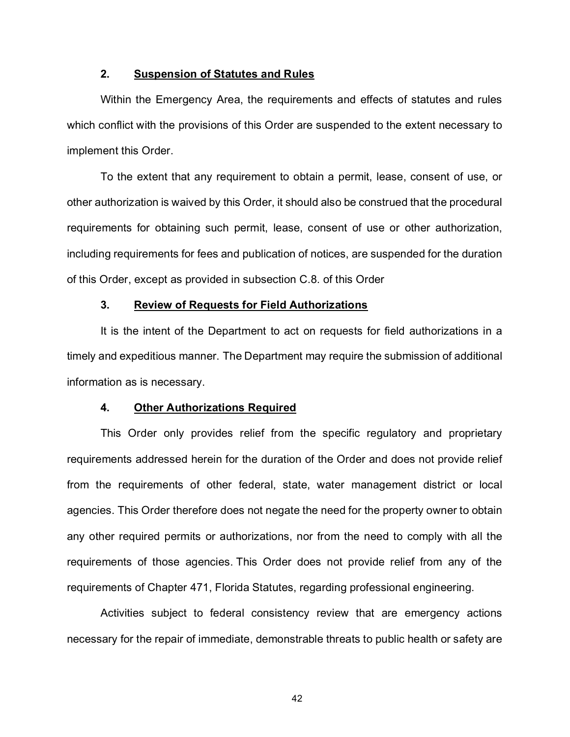# **2. Suspension of Statutes and Rules**

Within the Emergency Area, the requirements and effects of statutes and rules which conflict with the provisions of this Order are suspended to the extent necessary to implement this Order.

To the extent that any requirement to obtain a permit, lease, consent of use, or other authorization is waived by this Order, it should also be construed that the procedural requirements for obtaining such permit, lease, consent of use or other authorization, including requirements for fees and publication of notices, are suspended for the duration of this Order, except as provided in subsection C.8. of this Order

# **3. Review of Requests for Field Authorizations**

It is the intent of the Department to act on requests for field authorizations in a timely and expeditious manner. The Department may require the submission of additional information as is necessary.

#### **4. Other Authorizations Required**

This Order only provides relief from the specific regulatory and proprietary requirements addressed herein for the duration of the Order and does not provide relief from the requirements of other federal, state, water management district or local agencies. This Order therefore does not negate the need for the property owner to obtain any other required permits or authorizations, nor from the need to comply with all the requirements of those agencies. This Order does not provide relief from any of the requirements of Chapter 471, Florida Statutes, regarding professional engineering.

Activities subject to federal consistency review that are emergency actions necessary for the repair of immediate, demonstrable threats to public health or safety are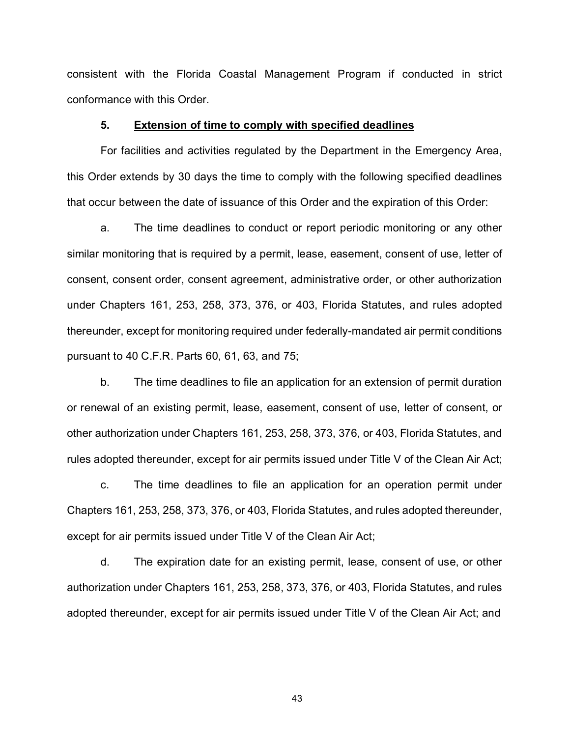consistent with the Florida Coastal Management Program if conducted in strict conformance with this Order.

## **5. Extension of time to comply with specified deadlines**

For facilities and activities regulated by the Department in the Emergency Area, this Order extends by 30 days the time to comply with the following specified deadlines that occur between the date of issuance of this Order and the expiration of this Order:

a. The time deadlines to conduct or report periodic monitoring or any other similar monitoring that is required by a permit, lease, easement, consent of use, letter of consent, consent order, consent agreement, administrative order, or other authorization under Chapters 161, 253, 258, 373, 376, or 403, Florida Statutes, and rules adopted thereunder, except for monitoring required under federally-mandated air permit conditions pursuant to 40 C.F.R. Parts 60, 61, 63, and 75;

b. The time deadlines to file an application for an extension of permit duration or renewal of an existing permit, lease, easement, consent of use, letter of consent, or other authorization under Chapters 161, 253, 258, 373, 376, or 403, Florida Statutes, and rules adopted thereunder, except for air permits issued under Title V of the Clean Air Act;

c. The time deadlines to file an application for an operation permit under Chapters 161, 253, 258, 373, 376, or 403, Florida Statutes, and rules adopted thereunder, except for air permits issued under Title V of the Clean Air Act;

d. The expiration date for an existing permit, lease, consent of use, or other authorization under Chapters 161, 253, 258, 373, 376, or 403, Florida Statutes, and rules adopted thereunder, except for air permits issued under Title V of the Clean Air Act; and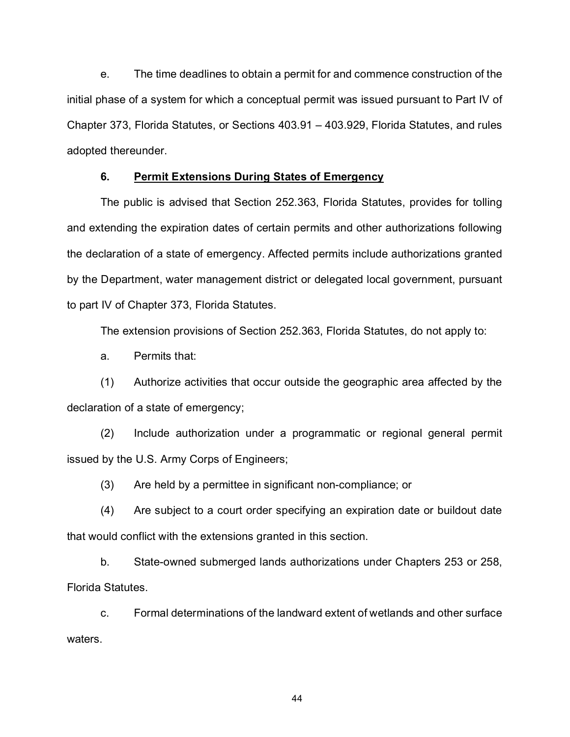e. The time deadlines to obtain a permit for and commence construction of the initial phase of a system for which a conceptual permit was issued pursuant to Part IV of Chapter 373, Florida Statutes, or Sections 403.91 – 403.929, Florida Statutes, and rules adopted thereunder.

# **6. Permit Extensions During States of Emergency**

The public is advised that Section 252.363, Florida Statutes, provides for tolling and extending the expiration dates of certain permits and other authorizations following the declaration of a state of emergency. Affected permits include authorizations granted by the Department, water management district or delegated local government, pursuant to part IV of Chapter 373, Florida Statutes.

The extension provisions of Section 252.363, Florida Statutes, do not apply to:

a. Permits that:

(1) Authorize activities that occur outside the geographic area affected by the declaration of a state of emergency;

(2) Include authorization under a programmatic or regional general permit issued by the U.S. Army Corps of Engineers;

(3) Are held by a permittee in significant non-compliance; or

(4) Are subject to a court order specifying an expiration date or buildout date that would conflict with the extensions granted in this section.

b. State-owned submerged lands authorizations under Chapters 253 or 258, Florida Statutes.

c. Formal determinations of the landward extent of wetlands and other surface waters.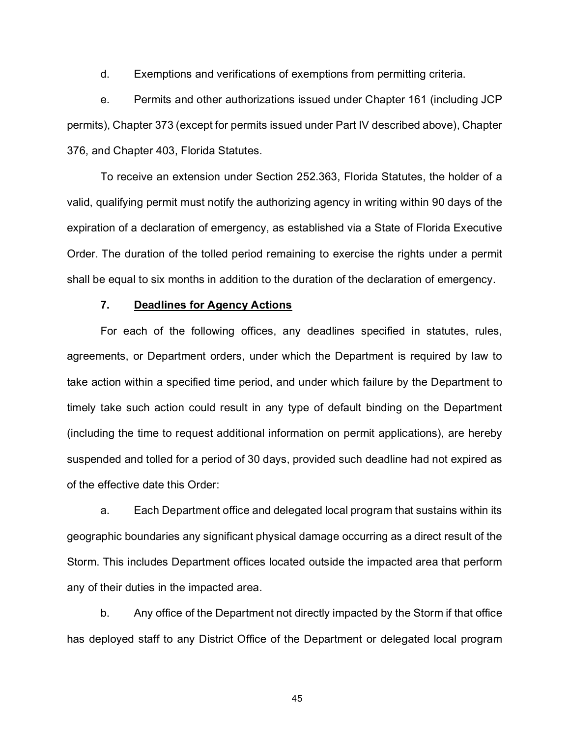d. Exemptions and verifications of exemptions from permitting criteria.

e. Permits and other authorizations issued under Chapter 161 (including JCP permits), Chapter 373 (except for permits issued under Part IV described above), Chapter 376, and Chapter 403, Florida Statutes.

To receive an extension under Section 252.363, Florida Statutes, the holder of a valid, qualifying permit must notify the authorizing agency in writing within 90 days of the expiration of a declaration of emergency, as established via a State of Florida Executive Order. The duration of the tolled period remaining to exercise the rights under a permit shall be equal to six months in addition to the duration of the declaration of emergency.

# **7. Deadlines for Agency Actions**

For each of the following offices, any deadlines specified in statutes, rules, agreements, or Department orders, under which the Department is required by law to take action within a specified time period, and under which failure by the Department to timely take such action could result in any type of default binding on the Department (including the time to request additional information on permit applications), are hereby suspended and tolled for a period of 30 days, provided such deadline had not expired as of the effective date this Order:

a. Each Department office and delegated local program that sustains within its geographic boundaries any significant physical damage occurring as a direct result of the Storm. This includes Department offices located outside the impacted area that perform any of their duties in the impacted area.

b. Any office of the Department not directly impacted by the Storm if that office has deployed staff to any District Office of the Department or delegated local program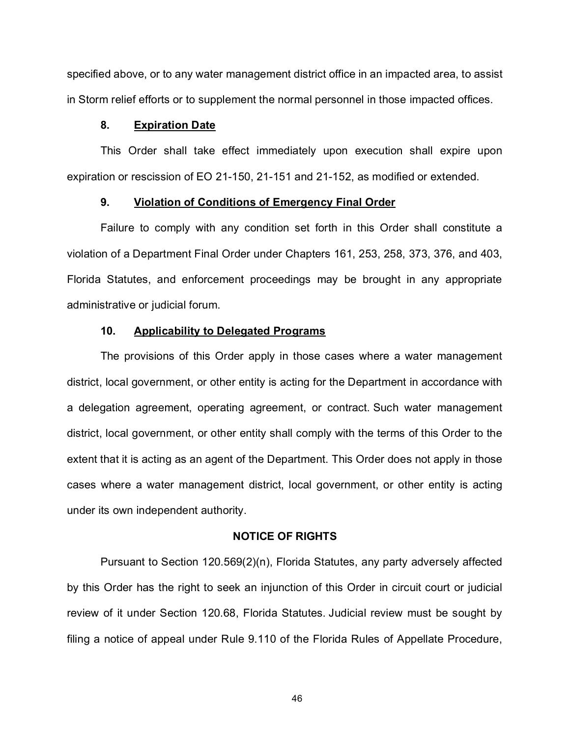specified above, or to any water management district office in an impacted area, to assist in Storm relief efforts or to supplement the normal personnel in those impacted offices.

# **8. Expiration Date**

This Order shall take effect immediately upon execution shall expire upon expiration or rescission of EO 21-150, 21-151 and 21-152, as modified or extended.

# **9. Violation of Conditions of Emergency Final Order**

Failure to comply with any condition set forth in this Order shall constitute a violation of a Department Final Order under Chapters 161, 253, 258, 373, 376, and 403, Florida Statutes, and enforcement proceedings may be brought in any appropriate administrative or judicial forum.

#### **10. Applicability to Delegated Programs**

The provisions of this Order apply in those cases where a water management district, local government, or other entity is acting for the Department in accordance with a delegation agreement, operating agreement, or contract. Such water management district, local government, or other entity shall comply with the terms of this Order to the extent that it is acting as an agent of the Department. This Order does not apply in those cases where a water management district, local government, or other entity is acting under its own independent authority.

#### **NOTICE OF RIGHTS**

Pursuant to Section 120.569(2)(n), Florida Statutes, any party adversely affected by this Order has the right to seek an injunction of this Order in circuit court or judicial review of it under Section 120.68, Florida Statutes. Judicial review must be sought by filing a notice of appeal under Rule 9.110 of the Florida Rules of Appellate Procedure,